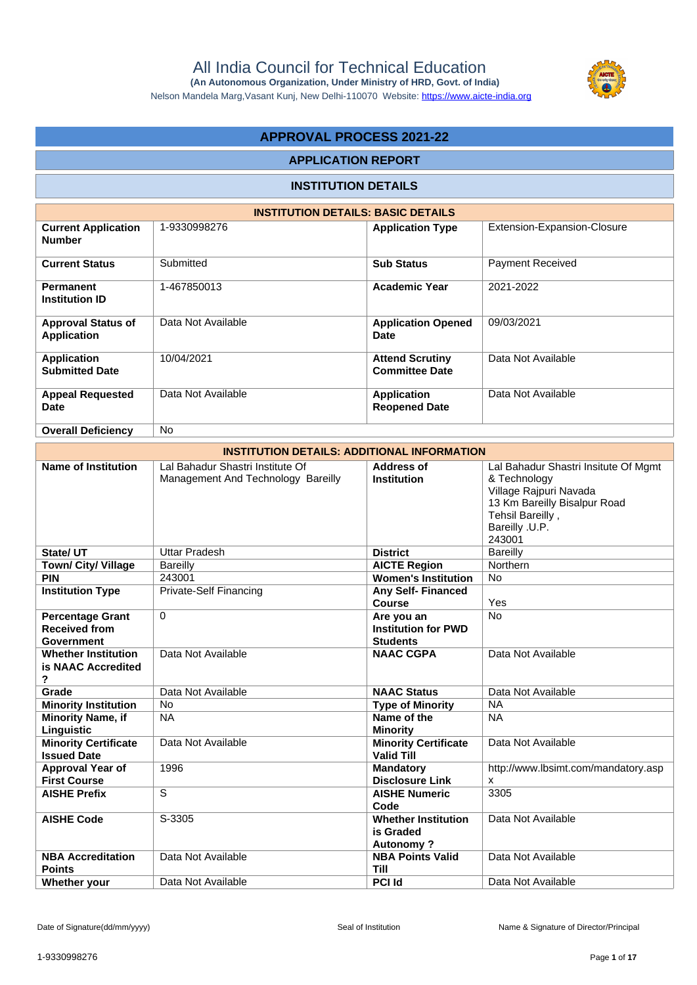

Nelson Mandela Marg,Vasant Kunj, New Delhi-110070 Website:<https://www.aicte-india.org>

# **APPROVAL PROCESS 2021-22**

## **APPLICATION REPORT**

## **INSTITUTION DETAILS**

| <b>INSTITUTION DETAILS: BASIC DETAILS</b>       |                    |                                                 |                             |  |  |  |  |
|-------------------------------------------------|--------------------|-------------------------------------------------|-----------------------------|--|--|--|--|
| <b>Current Application</b><br><b>Number</b>     | 1-9330998276       | <b>Application Type</b>                         | Extension-Expansion-Closure |  |  |  |  |
| <b>Current Status</b>                           | Submitted          | <b>Sub Status</b>                               | <b>Payment Received</b>     |  |  |  |  |
| Permanent<br><b>Institution ID</b>              | 1-467850013        | <b>Academic Year</b>                            | 2021-2022                   |  |  |  |  |
| <b>Approval Status of</b><br><b>Application</b> | Data Not Available | <b>Application Opened</b><br>Date               | 09/03/2021                  |  |  |  |  |
| <b>Application</b><br><b>Submitted Date</b>     | 10/04/2021         | <b>Attend Scrutiny</b><br><b>Committee Date</b> | Data Not Available          |  |  |  |  |
| <b>Appeal Requested</b><br><b>Date</b>          | Data Not Available | <b>Application</b><br><b>Reopened Date</b>      | Data Not Available          |  |  |  |  |
| <b>Overall Deficiency</b>                       | <b>No</b>          |                                                 |                             |  |  |  |  |

| <b>INSTITUTION DETAILS: ADDITIONAL INFORMATION</b>            |                                                                        |                                                             |                                                                                                                                                                |  |  |  |  |
|---------------------------------------------------------------|------------------------------------------------------------------------|-------------------------------------------------------------|----------------------------------------------------------------------------------------------------------------------------------------------------------------|--|--|--|--|
| <b>Name of Institution</b>                                    | Lal Bahadur Shastri Institute Of<br>Management And Technology Bareilly | Address of<br><b>Institution</b>                            | Lal Bahadur Shastri Insitute Of Mgmt<br>& Technology<br>Village Rajpuri Navada<br>13 Km Bareilly Bisalpur Road<br>Tehsil Bareilly,<br>Bareilly .U.P.<br>243001 |  |  |  |  |
| State/ UT                                                     | <b>Uttar Pradesh</b>                                                   | <b>District</b>                                             | <b>Bareilly</b>                                                                                                                                                |  |  |  |  |
| <b>Town/ City/ Village</b>                                    | Bareilly                                                               | <b>AICTE Region</b>                                         | Northern                                                                                                                                                       |  |  |  |  |
| <b>PIN</b>                                                    | 243001                                                                 | <b>Women's Institution</b>                                  | <b>No</b>                                                                                                                                                      |  |  |  |  |
| <b>Institution Type</b>                                       | <b>Private-Self Financing</b>                                          | <b>Any Self-Financed</b><br><b>Course</b>                   | Yes                                                                                                                                                            |  |  |  |  |
| <b>Percentage Grant</b><br><b>Received from</b><br>Government | $\Omega$                                                               | Are you an<br><b>Institution for PWD</b><br><b>Students</b> | <b>No</b>                                                                                                                                                      |  |  |  |  |
| <b>Whether Institution</b><br>is NAAC Accredited<br>2         | Data Not Available                                                     | <b>NAAC CGPA</b>                                            | Data Not Available                                                                                                                                             |  |  |  |  |
| Grade                                                         | Data Not Available                                                     | <b>NAAC Status</b>                                          | Data Not Available                                                                                                                                             |  |  |  |  |
| <b>Minority Institution</b>                                   | <b>No</b>                                                              | <b>Type of Minority</b>                                     | <b>NA</b>                                                                                                                                                      |  |  |  |  |
| <b>Minority Name, if</b><br>Linguistic                        | <b>NA</b>                                                              | Name of the<br><b>Minority</b>                              | <b>NA</b>                                                                                                                                                      |  |  |  |  |
| <b>Minority Certificate</b><br><b>Issued Date</b>             | Data Not Available                                                     | <b>Minority Certificate</b><br><b>Valid Till</b>            | Data Not Available                                                                                                                                             |  |  |  |  |
| <b>Approval Year of</b><br><b>First Course</b>                | 1996                                                                   | <b>Mandatory</b><br><b>Disclosure Link</b>                  | http://www.lbsimt.com/mandatory.asp<br>x                                                                                                                       |  |  |  |  |
| <b>AISHE Prefix</b>                                           | S                                                                      | <b>AISHE Numeric</b><br>Code                                | 3305                                                                                                                                                           |  |  |  |  |
| <b>AISHE Code</b>                                             | S-3305                                                                 | <b>Whether Institution</b><br>is Graded<br><b>Autonomy?</b> | Data Not Available                                                                                                                                             |  |  |  |  |
| <b>NBA Accreditation</b><br><b>Points</b>                     | Data Not Available                                                     | <b>NBA Points Valid</b><br><b>Till</b>                      | Data Not Available                                                                                                                                             |  |  |  |  |
| Whether your                                                  | Data Not Available                                                     | <b>PCI Id</b>                                               | Data Not Available                                                                                                                                             |  |  |  |  |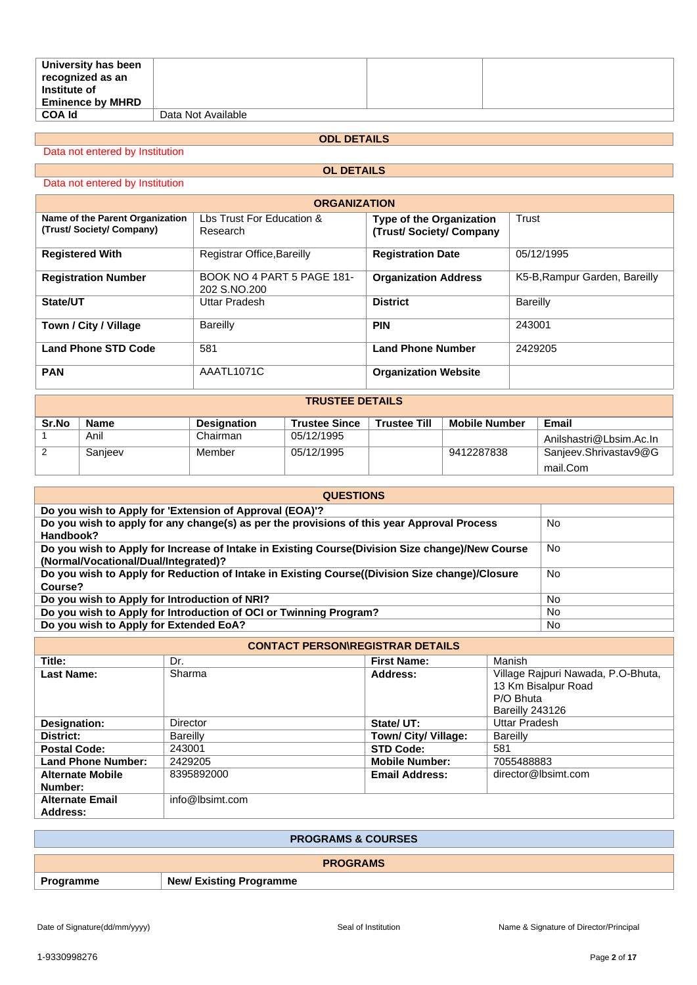| University has been<br>recognized as an<br>Institute of |                    |  |
|---------------------------------------------------------|--------------------|--|
| <b>Eminence by MHRD</b>                                 |                    |  |
| <b>COA Id</b>                                           | Data Not Available |  |

## **ODL DETAILS**

Data not entered by Institution

# **OL DETAILS**

| Data not entered by Institution |  |
|---------------------------------|--|
|---------------------------------|--|

| <b>ORGANIZATION</b>                                        |                                            |                                                           |                               |  |  |  |
|------------------------------------------------------------|--------------------------------------------|-----------------------------------------------------------|-------------------------------|--|--|--|
| Name of the Parent Organization<br>(Trust/Society/Company) | Lbs Trust For Education &<br>Research      | <b>Type of the Organization</b><br>(Trust/Society/Company | Trust                         |  |  |  |
| <b>Registered With</b>                                     | Registrar Office, Bareilly                 | <b>Registration Date</b>                                  | 05/12/1995                    |  |  |  |
| <b>Registration Number</b>                                 | BOOK NO 4 PART 5 PAGE 181-<br>202 S.NO.200 | <b>Organization Address</b>                               | K5-B, Rampur Garden, Bareilly |  |  |  |
| State/UT                                                   | Uttar Pradesh                              | <b>District</b>                                           | Bareilly                      |  |  |  |
| Town / City / Village                                      | Bareilly                                   | <b>PIN</b>                                                | 243001                        |  |  |  |
| <b>Land Phone STD Code</b>                                 | 581                                        | <b>Land Phone Number</b>                                  | 2429205                       |  |  |  |
| <b>PAN</b>                                                 | AAATL1071C                                 | <b>Organization Website</b>                               |                               |  |  |  |

### **TRUSTEE DETAILS**

| Sr.No | Name    | <b>Designation</b> | <b>Trustee Since</b> | <b>Trustee Till</b> | <b>Mobile Number</b> | Email                   |
|-------|---------|--------------------|----------------------|---------------------|----------------------|-------------------------|
|       | Anil    | Chairman           | 05/12/1995           |                     |                      | Anilshastri@Lbsim.Ac.In |
|       | Sanieev | Member             | 05/12/1995           |                     | 9412287838           | Sanjeev.Shrivastav9@G   |
|       |         |                    |                      |                     |                      | mail.Com                |

| <b>QUESTIONS</b>                                                                                                                        |           |  |  |  |
|-----------------------------------------------------------------------------------------------------------------------------------------|-----------|--|--|--|
| Do you wish to Apply for 'Extension of Approval (EOA)'?                                                                                 |           |  |  |  |
| Do you wish to apply for any change(s) as per the provisions of this year Approval Process<br>Handbook?                                 | No        |  |  |  |
| Do you wish to Apply for Increase of Intake in Existing Course(Division Size change)/New Course<br>(Normal/Vocational/Dual/Integrated)? | No.       |  |  |  |
| Do you wish to Apply for Reduction of Intake in Existing Course((Division Size change)/Closure<br>Course?                               | No.       |  |  |  |
| Do you wish to Apply for Introduction of NRI?                                                                                           | <b>No</b> |  |  |  |
| Do you wish to Apply for Introduction of OCI or Twinning Program?                                                                       | No.       |  |  |  |
| Do you wish to Apply for Extended EoA?                                                                                                  | No.       |  |  |  |

| <b>CONTACT PERSON\REGISTRAR DETAILS</b> |                 |                       |                                                                                           |  |  |  |
|-----------------------------------------|-----------------|-----------------------|-------------------------------------------------------------------------------------------|--|--|--|
| Title:                                  | Dr.             | <b>First Name:</b>    | Manish                                                                                    |  |  |  |
| <b>Last Name:</b>                       | Sharma          | Address:              | Village Rajpuri Nawada, P.O-Bhuta,<br>13 Km Bisalpur Road<br>P/O Bhuta<br>Bareilly 243126 |  |  |  |
| Designation:                            | Director        | State/UT:             | Uttar Pradesh                                                                             |  |  |  |
| District:                               | Bareilly        | Town/ City/ Village:  | Bareilly                                                                                  |  |  |  |
| <b>Postal Code:</b>                     | 243001          | <b>STD Code:</b>      | 581                                                                                       |  |  |  |
| Land Phone Number:                      | 2429205         | <b>Mobile Number:</b> | 7055488883                                                                                |  |  |  |
| <b>Alternate Mobile</b><br>Number:      | 8395892000      | <b>Email Address:</b> | director@lbsimt.com                                                                       |  |  |  |
| <b>Alternate Email</b><br>Address:      | info@lbsimt.com |                       |                                                                                           |  |  |  |

| <b>PROGRAMS &amp; COURSES</b> |                                |  |  |
|-------------------------------|--------------------------------|--|--|
| <b>PROGRAMS</b>               |                                |  |  |
| Programme                     | <b>New/ Existing Programme</b> |  |  |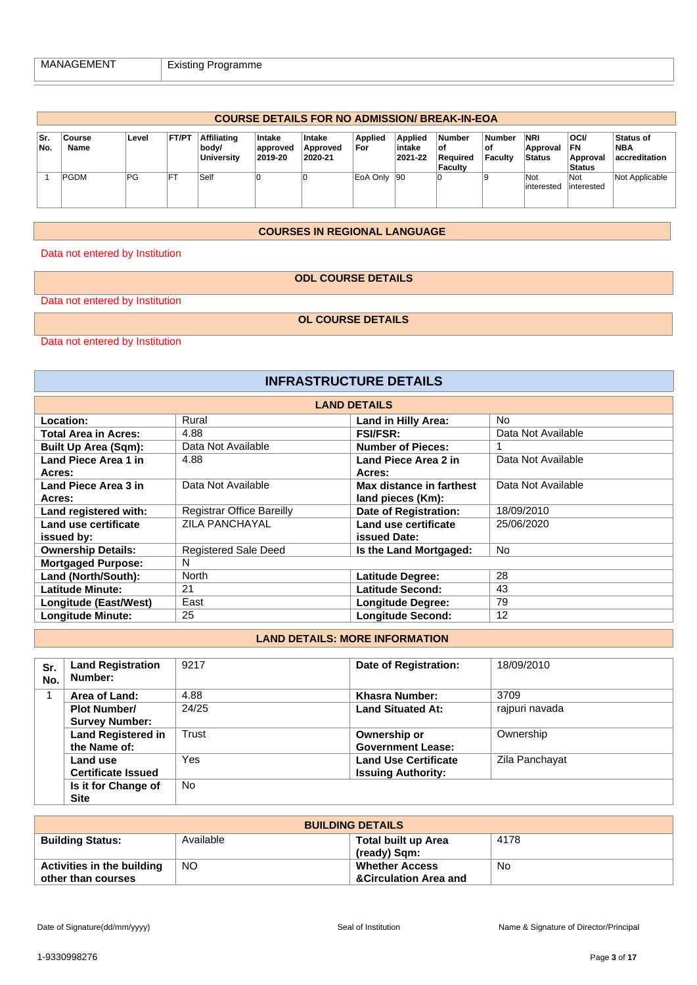|             | <b>COURSE DETAILS FOR NO ADMISSION/ BREAK-IN-EOA</b> |       |              |                                                  |                                      |                               |                       |                                     |                                              |                          |                                  |                                                |                                          |
|-------------|------------------------------------------------------|-------|--------------|--------------------------------------------------|--------------------------------------|-------------------------------|-----------------------|-------------------------------------|----------------------------------------------|--------------------------|----------------------------------|------------------------------------------------|------------------------------------------|
| ∣Sr.<br>No. | Course<br>Name                                       | Level | <b>FT/PT</b> | <b>Affiliating</b><br>body/<br><b>University</b> | <b>Intake</b><br>approved<br>2019-20 | Intake<br>Approved<br>2020-21 | <b>Applied</b><br>For | <b>Applied</b><br>intake<br>2021-22 | <b>Number</b><br>l of<br>Reauired<br>Faculty | Number<br>∣of<br>Facultv | <b>NRI</b><br>Approval<br>Status | <b>OCI/</b><br>FN<br>Approval<br><b>Status</b> | Status of<br><b>NBA</b><br>accreditation |
|             | <b>IPGDM</b>                                         | PG    |              | Self                                             |                                      |                               | EoA Only 90           |                                     |                                              | ıç                       | <b>Not</b><br>linterested        | Not<br>linterested                             | Not Applicable                           |

### **COURSES IN REGIONAL LANGUAGE**

Data not entered by Institution

### **ODL COURSE DETAILS**

Data not entered by Institution

**OL COURSE DETAILS**

Data not entered by Institution

| <b>INFRASTRUCTURE DETAILS</b>      |                                  |                                               |                    |  |  |  |  |
|------------------------------------|----------------------------------|-----------------------------------------------|--------------------|--|--|--|--|
|                                    | <b>LAND DETAILS</b>              |                                               |                    |  |  |  |  |
| Location:                          | Rural                            | <b>Land in Hilly Area:</b>                    | <b>No</b>          |  |  |  |  |
| <b>Total Area in Acres:</b>        | 4.88                             | <b>FSI/FSR:</b>                               | Data Not Available |  |  |  |  |
| <b>Built Up Area (Sqm):</b>        | Data Not Available               | <b>Number of Pieces:</b>                      |                    |  |  |  |  |
| Land Piece Area 1 in<br>Acres:     | 4.88                             | Land Piece Area 2 in<br>Acres:                | Data Not Available |  |  |  |  |
| Land Piece Area 3 in<br>Acres:     | Data Not Available               | Max distance in farthest<br>land pieces (Km): | Data Not Available |  |  |  |  |
| Land registered with:              | <b>Registrar Office Bareilly</b> | Date of Registration:                         | 18/09/2010         |  |  |  |  |
| Land use certificate<br>issued by: | <b>ZILA PANCHAYAL</b>            | Land use certificate<br>issued Date:          | 25/06/2020         |  |  |  |  |
| <b>Ownership Details:</b>          | <b>Registered Sale Deed</b>      | Is the Land Mortgaged:                        | <b>No</b>          |  |  |  |  |
| <b>Mortgaged Purpose:</b>          | N                                |                                               |                    |  |  |  |  |
| Land (North/South):                | <b>North</b>                     | Latitude Degree:                              | 28                 |  |  |  |  |
| <b>Latitude Minute:</b>            | 21                               | Latitude Second:                              | 43                 |  |  |  |  |
| Longitude (East/West)              | East                             | <b>Longitude Degree:</b>                      | 79                 |  |  |  |  |
| <b>Longitude Minute:</b>           | 25                               | <b>Longitude Second:</b>                      | 12                 |  |  |  |  |

## **LAND DETAILS: MORE INFORMATION**

| Sr.<br>No. | <b>Land Registration</b><br>Number:          | 9217  | Date of Registration:                                    | 18/09/2010     |
|------------|----------------------------------------------|-------|----------------------------------------------------------|----------------|
|            | Area of Land:                                | 4.88  | Khasra Number:                                           | 3709           |
|            | <b>Plot Number/</b><br><b>Survey Number:</b> | 24/25 | <b>Land Situated At:</b>                                 | raipuri navada |
|            | <b>Land Registered in</b><br>the Name of:    | Trust | Ownership or<br><b>Government Lease:</b>                 | Ownership      |
|            | Land use<br><b>Certificate Issued</b>        | Yes   | <b>Land Use Certificate</b><br><b>Issuing Authority:</b> | Zila Panchayat |
|            | Is it for Change of<br><b>Site</b>           | No.   |                                                          |                |

| <b>BUILDING DETAILS</b>           |           |                                            |      |
|-----------------------------------|-----------|--------------------------------------------|------|
| <b>Building Status:</b>           | Available | <b>Total built up Area</b><br>(ready) Sqm: | 4178 |
| <b>Activities in the building</b> | <b>NO</b> | <b>Whether Access</b>                      | No   |
| other than courses                |           | <b>&amp;Circulation Area and</b>           |      |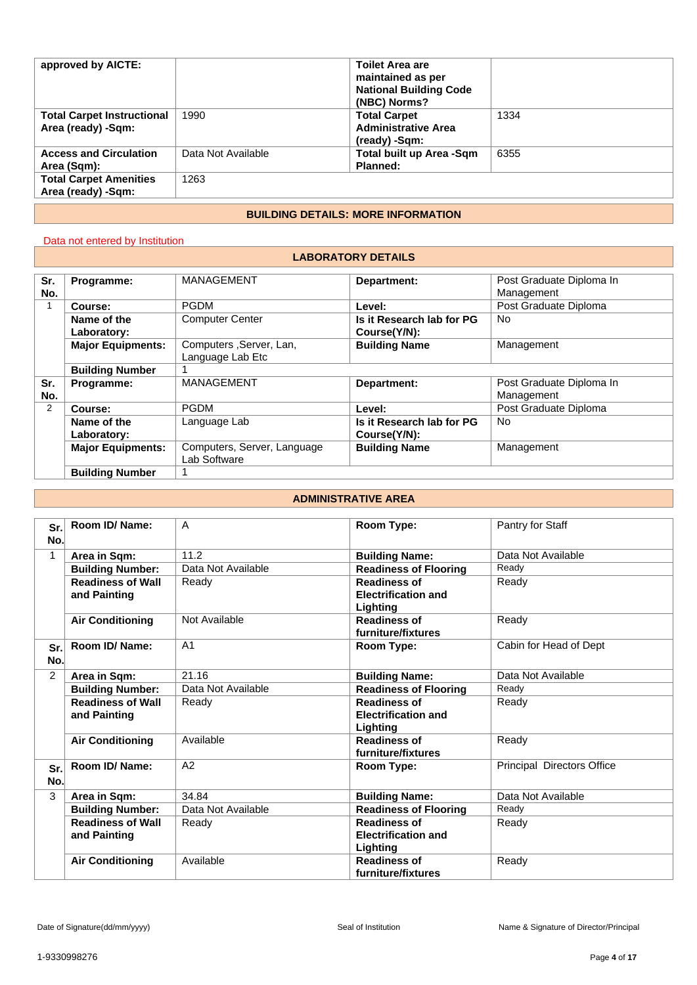| approved by AICTE:                                      |                    | <b>Toilet Area are</b><br>maintained as per<br><b>National Building Code</b><br>(NBC) Norms? |      |
|---------------------------------------------------------|--------------------|----------------------------------------------------------------------------------------------|------|
| <b>Total Carpet Instructional</b><br>Area (ready) -Sqm: | 1990               | <b>Total Carpet</b><br><b>Administrative Area</b><br>(ready) -Sqm:                           | 1334 |
| <b>Access and Circulation</b><br>Area (Sqm):            | Data Not Available | Total built up Area -Sqm<br>Planned:                                                         | 6355 |
| <b>Total Carpet Amenities</b><br>Area (ready) -Sqm:     | 1263               |                                                                                              |      |
|                                                         |                    |                                                                                              |      |

## **BUILDING DETAILS: MORE INFORMATION**

## Data not entered by Institution

#### **LABORATORY DETAILS**

| Sr.            | Programme:               | <b>MANAGEMENT</b>                            | Department:               | Post Graduate Diploma In |
|----------------|--------------------------|----------------------------------------------|---------------------------|--------------------------|
| No.            |                          |                                              |                           | Management               |
|                | Course:                  | <b>PGDM</b>                                  | Level:                    | Post Graduate Diploma    |
|                | Name of the              | <b>Computer Center</b>                       | Is it Research lab for PG | No.                      |
|                | Laboratory:              |                                              | Course(Y/N):              |                          |
|                | <b>Major Equipments:</b> | Computers , Server, Lan,<br>Language Lab Etc | <b>Building Name</b>      | Management               |
|                | <b>Building Number</b>   |                                              |                           |                          |
| Sr.            | Programme:               | <b>MANAGEMENT</b>                            | Department:               | Post Graduate Diploma In |
| No.            |                          |                                              |                           | Management               |
| $\overline{2}$ | Course:                  | <b>PGDM</b>                                  | Level:                    | Post Graduate Diploma    |
|                | Name of the              | Language Lab                                 | Is it Research lab for PG | No.                      |
|                | Laboratory:              |                                              | Course(Y/N):              |                          |
|                | <b>Major Equipments:</b> | Computers, Server, Language                  | <b>Building Name</b>      | Management               |
|                |                          | Lab Software                                 |                           |                          |
|                | <b>Building Number</b>   |                                              |                           |                          |

## **ADMINISTRATIVE AREA**

| Sr.<br>No.     | Room ID/ Name:                           | $\overline{A}$     | Room Type:                                                    | Pantry for Staff           |
|----------------|------------------------------------------|--------------------|---------------------------------------------------------------|----------------------------|
| 1              | Area in Sqm:                             | 11.2               | <b>Building Name:</b>                                         | Data Not Available         |
|                | <b>Building Number:</b>                  | Data Not Available | <b>Readiness of Flooring</b>                                  | Ready                      |
|                | <b>Readiness of Wall</b><br>and Painting | Ready              | <b>Readiness of</b><br><b>Electrification and</b><br>Lighting | Ready                      |
|                | <b>Air Conditioning</b>                  | Not Available      | <b>Readiness of</b><br>furniture/fixtures                     | Ready                      |
| Sr.<br>No.     | Room ID/ Name:                           | A <sub>1</sub>     | Room Type:                                                    | Cabin for Head of Dept     |
| $\overline{2}$ | Area in Sqm:                             | 21.16              | <b>Building Name:</b>                                         | Data Not Available         |
|                | <b>Building Number:</b>                  | Data Not Available | <b>Readiness of Flooring</b>                                  | Ready                      |
|                | <b>Readiness of Wall</b><br>and Painting | Ready              | <b>Readiness of</b><br><b>Electrification and</b><br>Lighting | Ready                      |
|                | <b>Air Conditioning</b>                  | Available          | <b>Readiness of</b><br>furniture/fixtures                     | Ready                      |
| Sr.<br>No.     | Room ID/ Name:                           | A2                 | Room Type:                                                    | Principal Directors Office |
| 3              | Area in Sqm:                             | 34.84              | <b>Building Name:</b>                                         | Data Not Available         |
|                | <b>Building Number:</b>                  | Data Not Available | <b>Readiness of Flooring</b>                                  | Ready                      |
|                | <b>Readiness of Wall</b><br>and Painting | Ready              | <b>Readiness of</b><br><b>Electrification and</b><br>Lighting | Ready                      |
|                | <b>Air Conditioning</b>                  | Available          | <b>Readiness of</b><br>furniture/fixtures                     | Ready                      |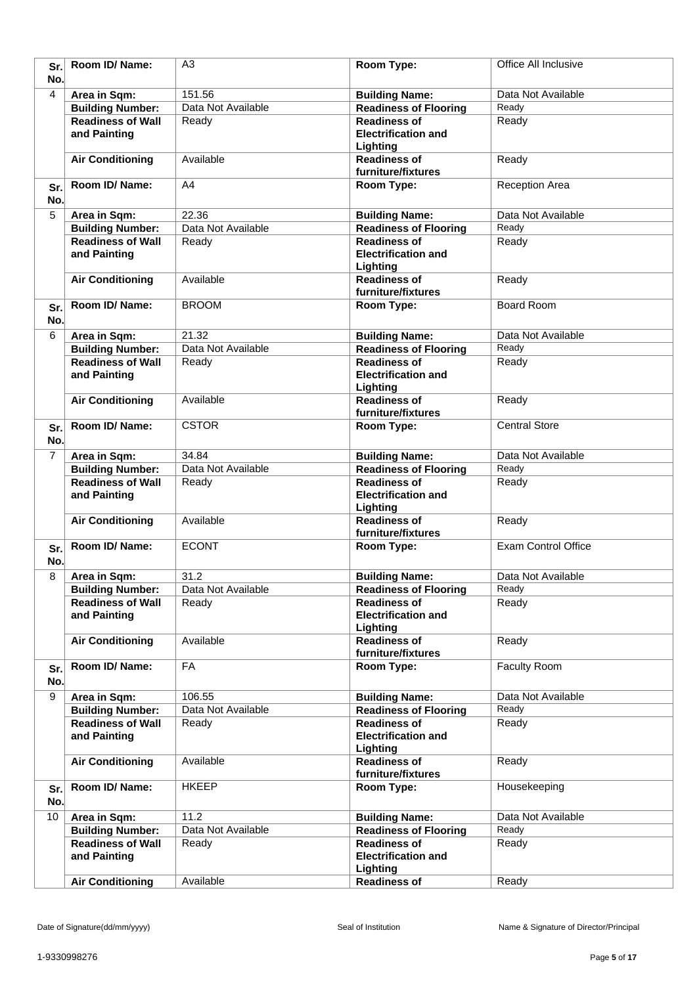| Sr.<br>No.     | Room ID/ Name:                           | A3                 | Room Type:                                                    | Office All Inclusive       |
|----------------|------------------------------------------|--------------------|---------------------------------------------------------------|----------------------------|
| $\overline{4}$ | Area in Sqm:                             | 151.56             | <b>Building Name:</b>                                         | Data Not Available         |
|                | <b>Building Number:</b>                  | Data Not Available | <b>Readiness of Flooring</b>                                  | Ready                      |
|                | <b>Readiness of Wall</b>                 | Ready              | <b>Readiness of</b>                                           | Ready                      |
|                | and Painting                             |                    | <b>Electrification and</b><br>Lighting                        |                            |
|                | <b>Air Conditioning</b>                  | Available          | <b>Readiness of</b><br>furniture/fixtures                     | Ready                      |
| Sr.<br>No.     | Room ID/Name:                            | A4                 | Room Type:                                                    | <b>Reception Area</b>      |
| 5              | Area in Sqm:                             | 22.36              | <b>Building Name:</b>                                         | Data Not Available         |
|                | <b>Building Number:</b>                  | Data Not Available | <b>Readiness of Flooring</b>                                  | Ready                      |
|                | <b>Readiness of Wall</b>                 | Ready              | <b>Readiness of</b>                                           | Ready                      |
|                | and Painting                             |                    | <b>Electrification and</b><br>Lighting                        |                            |
|                | <b>Air Conditioning</b>                  | Available          | <b>Readiness of</b><br>furniture/fixtures                     | Ready                      |
| Sr.<br>No.     | Room ID/ Name:                           | <b>BROOM</b>       | Room Type:                                                    | <b>Board Room</b>          |
| 6              | Area in Sqm:                             | 21.32              | <b>Building Name:</b>                                         | Data Not Available         |
|                | <b>Building Number:</b>                  | Data Not Available | <b>Readiness of Flooring</b>                                  | Ready                      |
|                | <b>Readiness of Wall</b><br>and Painting | Ready              | <b>Readiness of</b><br><b>Electrification and</b><br>Lighting | Ready                      |
|                | <b>Air Conditioning</b>                  | Available          | <b>Readiness of</b><br>furniture/fixtures                     | Ready                      |
| Sr.<br>No.     | Room ID/Name:                            | <b>CSTOR</b>       | Room Type:                                                    | <b>Central Store</b>       |
| $\overline{7}$ | Area in Sqm:                             | 34.84              | <b>Building Name:</b>                                         | Data Not Available         |
|                | <b>Building Number:</b>                  | Data Not Available | <b>Readiness of Flooring</b>                                  | Ready                      |
|                | <b>Readiness of Wall</b>                 | Ready              | <b>Readiness of</b>                                           | Ready                      |
|                | and Painting                             |                    | <b>Electrification and</b><br>Lighting                        |                            |
|                | <b>Air Conditioning</b>                  | Available          | <b>Readiness of</b><br>furniture/fixtures                     | Ready                      |
| Sr.<br>No.     | Room ID/Name:                            | <b>ECONT</b>       | Room Type:                                                    | <b>Exam Control Office</b> |
| 8              | Area in Sqm:                             | 31.2               | <b>Building Name:</b>                                         | Data Not Available         |
|                | <b>Building Number:</b>                  | Data Not Available | <b>Readiness of Flooring</b>                                  | Ready                      |
|                | <b>Readiness of Wall</b>                 | Ready              | <b>Readiness of</b>                                           | Ready                      |
|                | and Painting                             |                    | <b>Electrification and</b><br>Lighting                        |                            |
|                | <b>Air Conditioning</b>                  | Available          | <b>Readiness of</b><br>furniture/fixtures                     | Ready                      |
| Sr.<br>No.     | Room ID/ Name:                           | FA                 | <b>Room Type:</b>                                             | Faculty Room               |
| 9              | Area in Sqm:                             | 106.55             | <b>Building Name:</b>                                         | Data Not Available         |
|                | <b>Building Number:</b>                  | Data Not Available | <b>Readiness of Flooring</b>                                  | Ready                      |
|                | <b>Readiness of Wall</b><br>and Painting | Ready              | <b>Readiness of</b><br><b>Electrification and</b><br>Lighting | Ready                      |
|                | <b>Air Conditioning</b>                  | Available          | <b>Readiness of</b><br>furniture/fixtures                     | Ready                      |
| Sr.<br>No.     | Room ID/ Name:                           | <b>HKEEP</b>       | Room Type:                                                    | Housekeeping               |
| 10             | Area in Sqm:                             | 11.2               | <b>Building Name:</b>                                         | Data Not Available         |
|                | <b>Building Number:</b>                  | Data Not Available | <b>Readiness of Flooring</b>                                  | Ready                      |
|                | <b>Readiness of Wall</b><br>and Painting | Ready              | <b>Readiness of</b><br><b>Electrification and</b><br>Lighting | Ready                      |
|                | <b>Air Conditioning</b>                  | Available          | <b>Readiness of</b>                                           | Ready                      |
|                |                                          |                    |                                                               |                            |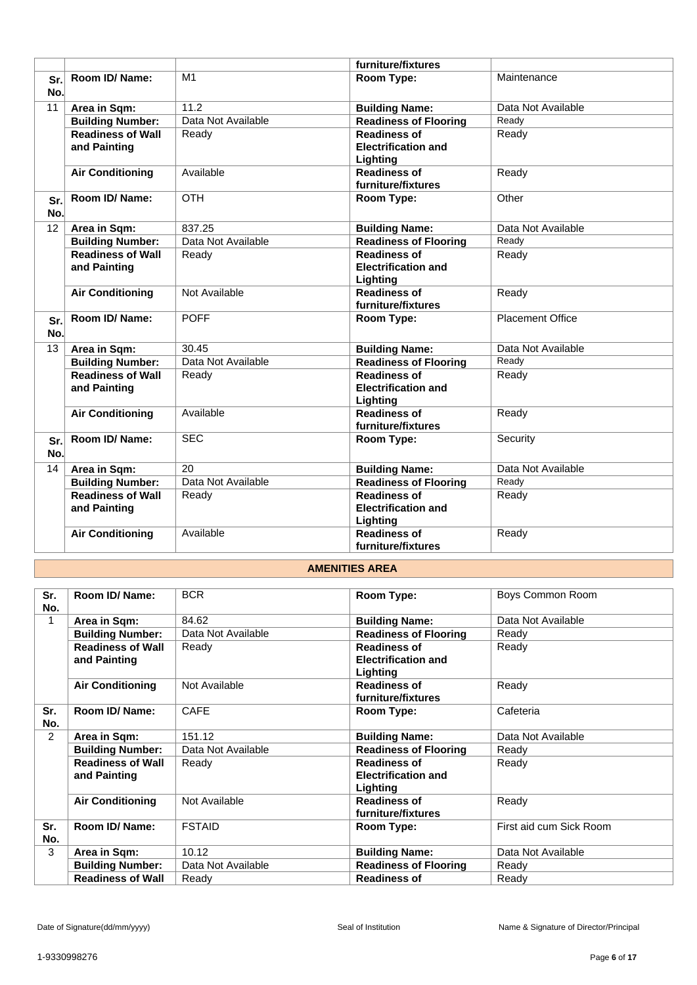|            |                                          |                    | furniture/fixtures                                            |                         |
|------------|------------------------------------------|--------------------|---------------------------------------------------------------|-------------------------|
| Sr.<br>No. | Room ID/Name:                            | M <sub>1</sub>     | Room Type:                                                    | Maintenance             |
| 11         | Area in Sqm:                             | 11.2               | <b>Building Name:</b>                                         | Data Not Available      |
|            | <b>Building Number:</b>                  | Data Not Available | <b>Readiness of Flooring</b>                                  | Ready                   |
|            | <b>Readiness of Wall</b><br>and Painting | Ready              | <b>Readiness of</b><br><b>Electrification and</b><br>Lighting | Ready                   |
|            | <b>Air Conditioning</b>                  | Available          | <b>Readiness of</b><br>furniture/fixtures                     | Ready                   |
| Sr.<br>No. | Room ID/Name:                            | <b>OTH</b>         | Room Type:                                                    | Other                   |
| 12         | Area in Sqm:                             | 837.25             | <b>Building Name:</b>                                         | Data Not Available      |
|            | <b>Building Number:</b>                  | Data Not Available | <b>Readiness of Flooring</b>                                  | Ready                   |
|            | <b>Readiness of Wall</b><br>and Painting | Ready              | <b>Readiness of</b><br><b>Electrification and</b><br>Lighting | Ready                   |
|            | <b>Air Conditioning</b>                  | Not Available      | <b>Readiness of</b><br>furniture/fixtures                     | Ready                   |
| Sr.<br>No. | Room ID/Name:                            | <b>POFF</b>        | Room Type:                                                    | <b>Placement Office</b> |
| 13         | Area in Sqm:                             | 30.45              | <b>Building Name:</b>                                         | Data Not Available      |
|            | <b>Building Number:</b>                  | Data Not Available | <b>Readiness of Flooring</b>                                  | Ready                   |
|            | <b>Readiness of Wall</b><br>and Painting | Ready              | <b>Readiness of</b><br><b>Electrification and</b><br>Lighting | Ready                   |
|            | <b>Air Conditioning</b>                  | Available          | <b>Readiness of</b><br>furniture/fixtures                     | Ready                   |
| Sr.<br>No. | Room ID/Name:                            | <b>SEC</b>         | Room Type:                                                    | Security                |
| 14         | Area in Sqm:                             | 20                 | <b>Building Name:</b>                                         | Data Not Available      |
|            | <b>Building Number:</b>                  | Data Not Available | <b>Readiness of Flooring</b>                                  | Ready                   |
|            | <b>Readiness of Wall</b><br>and Painting | Ready              | <b>Readiness of</b><br><b>Electrification and</b><br>Lighting | Ready                   |
|            | <b>Air Conditioning</b>                  | Available          | <b>Readiness of</b><br>furniture/fixtures                     | Ready                   |

## **AMENITIES AREA**

| Sr.<br>No. | Room ID/ Name:                           | <b>BCR</b>         | Room Type:                                                    | Boys Common Room        |
|------------|------------------------------------------|--------------------|---------------------------------------------------------------|-------------------------|
|            | Area in Sqm:                             | 84.62              | <b>Building Name:</b>                                         | Data Not Available      |
|            | <b>Building Number:</b>                  | Data Not Available | <b>Readiness of Flooring</b>                                  | Ready                   |
|            | <b>Readiness of Wall</b><br>and Painting | Ready              | <b>Readiness of</b><br><b>Electrification and</b><br>Lighting | Ready                   |
|            | <b>Air Conditioning</b>                  | Not Available      | <b>Readiness of</b><br>furniture/fixtures                     | Ready                   |
| Sr.<br>No. | Room ID/ Name:                           | <b>CAFE</b>        | Room Type:                                                    | Cafeteria               |
| 2          | Area in Sqm:                             | 151.12             | <b>Building Name:</b>                                         | Data Not Available      |
|            | <b>Building Number:</b>                  | Data Not Available | <b>Readiness of Flooring</b>                                  | Ready                   |
|            | <b>Readiness of Wall</b><br>and Painting | Ready              | <b>Readiness of</b><br><b>Electrification and</b><br>Lighting | Ready                   |
|            | <b>Air Conditioning</b>                  | Not Available      | <b>Readiness of</b><br>furniture/fixtures                     | Ready                   |
| Sr.<br>No. | Room ID/ Name:                           | <b>FSTAID</b>      | Room Type:                                                    | First aid cum Sick Room |
| 3          | Area in Sqm:                             | 10.12              | <b>Building Name:</b>                                         | Data Not Available      |
|            | <b>Building Number:</b>                  | Data Not Available | <b>Readiness of Flooring</b>                                  | Ready                   |
|            | <b>Readiness of Wall</b>                 | Ready              | <b>Readiness of</b>                                           | Ready                   |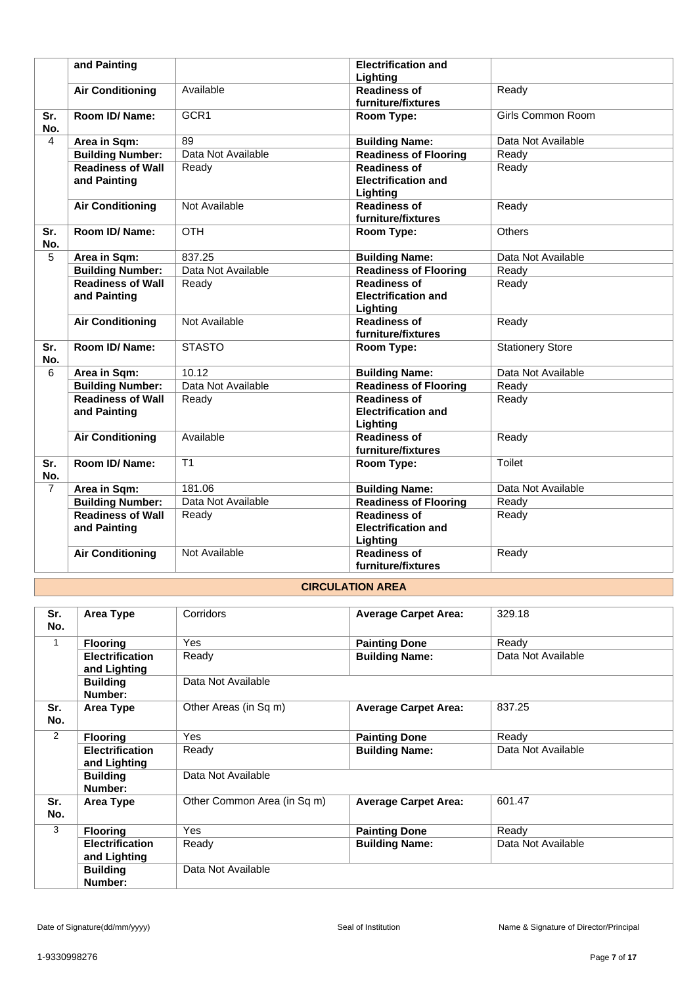|                | and Painting                             |                    | <b>Electrification and</b><br>Lighting                        |                         |
|----------------|------------------------------------------|--------------------|---------------------------------------------------------------|-------------------------|
|                | <b>Air Conditioning</b>                  | Available          | <b>Readiness of</b><br>furniture/fixtures                     | Ready                   |
| Sr.<br>No.     | Room ID/Name:                            | GCR1               | <b>Room Type:</b>                                             | Girls Common Room       |
| 4              | Area in Sqm:                             | 89                 | <b>Building Name:</b>                                         | Data Not Available      |
|                | <b>Building Number:</b>                  | Data Not Available | <b>Readiness of Flooring</b>                                  | Ready                   |
|                | <b>Readiness of Wall</b><br>and Painting | Ready              | <b>Readiness of</b><br><b>Electrification and</b><br>Lighting | Ready                   |
|                | <b>Air Conditioning</b>                  | Not Available      | <b>Readiness of</b><br>furniture/fixtures                     | Ready                   |
| Sr.<br>No.     | Room ID/ Name:                           | <b>OTH</b>         | Room Type:                                                    | Others                  |
| 5              | Area in Sqm:                             | 837.25             | <b>Building Name:</b>                                         | Data Not Available      |
|                | <b>Building Number:</b>                  | Data Not Available | <b>Readiness of Flooring</b>                                  | Ready                   |
|                | <b>Readiness of Wall</b><br>and Painting | Readv              | <b>Readiness of</b><br><b>Electrification and</b><br>Lighting | Ready                   |
|                | <b>Air Conditioning</b>                  | Not Available      | <b>Readiness of</b><br>furniture/fixtures                     | Ready                   |
| Sr.<br>No.     | Room ID/Name:                            | <b>STASTO</b>      | Room Type:                                                    | <b>Stationery Store</b> |
| 6              | Area in Sqm:                             | 10.12              | <b>Building Name:</b>                                         | Data Not Available      |
|                | <b>Building Number:</b>                  | Data Not Available | <b>Readiness of Flooring</b>                                  | Ready                   |
|                | <b>Readiness of Wall</b><br>and Painting | Ready              | <b>Readiness of</b><br><b>Electrification and</b><br>Lighting | Ready                   |
|                | <b>Air Conditioning</b>                  | Available          | <b>Readiness of</b><br>furniture/fixtures                     | Ready                   |
| Sr.<br>No.     | Room ID/Name:                            | T <sub>1</sub>     | Room Type:                                                    | <b>Toilet</b>           |
| $\overline{7}$ | Area in Sqm:                             | 181.06             | <b>Building Name:</b>                                         | Data Not Available      |
|                | <b>Building Number:</b>                  | Data Not Available | <b>Readiness of Flooring</b>                                  | Ready                   |
|                | <b>Readiness of Wall</b><br>and Painting | Ready              | <b>Readiness of</b><br><b>Electrification and</b><br>Lighting | Ready                   |
|                | <b>Air Conditioning</b>                  | Not Available      | <b>Readiness of</b><br>furniture/fixtures                     | Ready                   |

## **CIRCULATION AREA**

| Sr.<br>No. | Area Type                              | Corridors                   | <b>Average Carpet Area:</b> | 329.18             |
|------------|----------------------------------------|-----------------------------|-----------------------------|--------------------|
| 1          | <b>Flooring</b>                        | <b>Yes</b>                  | <b>Painting Done</b>        | Ready              |
|            | <b>Electrification</b><br>and Lighting | Ready                       | <b>Building Name:</b>       | Data Not Available |
|            | <b>Building</b><br>Number:             | Data Not Available          |                             |                    |
| Sr.<br>No. | <b>Area Type</b>                       | Other Areas (in Sq m)       | <b>Average Carpet Area:</b> | 837.25             |
| 2          | <b>Flooring</b>                        | <b>Yes</b>                  | <b>Painting Done</b>        | Ready              |
|            | <b>Electrification</b><br>and Lighting | Ready                       | <b>Building Name:</b>       | Data Not Available |
|            | <b>Building</b><br>Number:             | Data Not Available          |                             |                    |
| Sr.<br>No. | Area Type                              | Other Common Area (in Sq m) | <b>Average Carpet Area:</b> | 601.47             |
| 3          | <b>Flooring</b>                        | Yes                         | <b>Painting Done</b>        | Ready              |
|            | <b>Electrification</b><br>and Lighting | Ready                       | <b>Building Name:</b>       | Data Not Available |
|            | <b>Building</b><br>Number:             | Data Not Available          |                             |                    |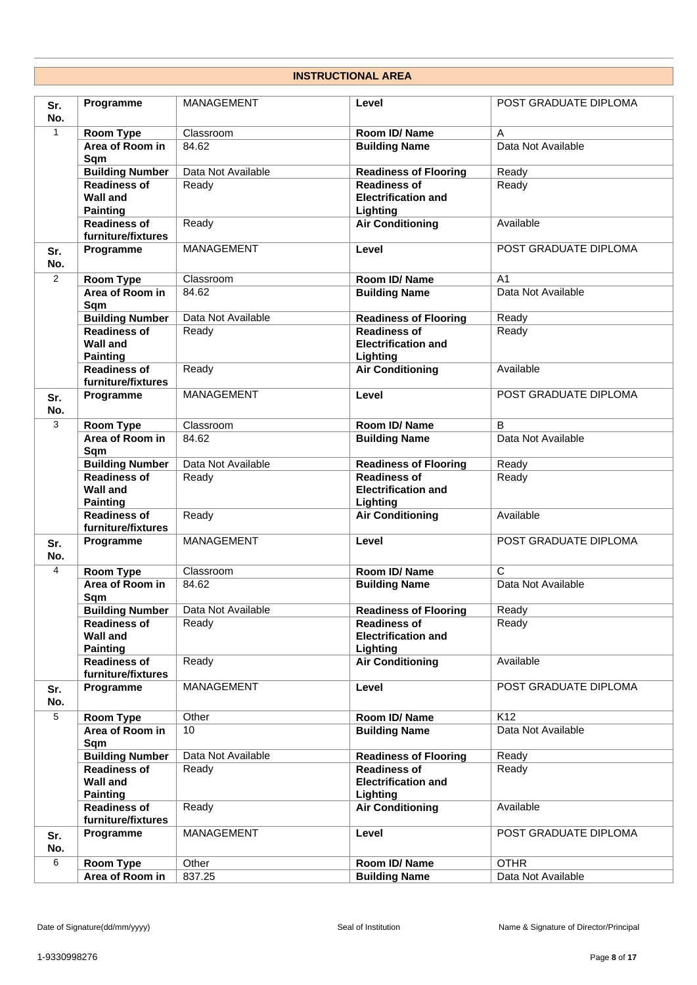## **INSTRUCTIONAL AREA**

| Sr.<br>No.     | Programme                                 | <b>MANAGEMENT</b>  | Level                                      | POST GRADUATE DIPLOMA   |
|----------------|-------------------------------------------|--------------------|--------------------------------------------|-------------------------|
| $\mathbf{1}$   | <b>Room Type</b>                          | Classroom          | Room ID/ Name                              | A                       |
|                | Area of Room in<br>Sqm                    | 84.62              | <b>Building Name</b>                       | Data Not Available      |
|                | <b>Building Number</b>                    | Data Not Available | <b>Readiness of Flooring</b>               | Ready                   |
|                | <b>Readiness of</b>                       | Ready              | <b>Readiness of</b>                        | Ready                   |
|                | <b>Wall and</b>                           |                    | <b>Electrification and</b>                 |                         |
|                | <b>Painting</b>                           |                    | Lighting                                   |                         |
|                | <b>Readiness of</b>                       | Ready              | <b>Air Conditioning</b>                    | Available               |
|                | furniture/fixtures                        |                    |                                            |                         |
| Sr.<br>No.     | Programme                                 | MANAGEMENT         | Level                                      | POST GRADUATE DIPLOMA   |
| $\overline{2}$ | <b>Room Type</b>                          | Classroom          | Room ID/ Name                              | A <sub>1</sub>          |
|                | Area of Room in<br>Sqm                    | 84.62              | <b>Building Name</b>                       | Data Not Available      |
|                | <b>Building Number</b>                    | Data Not Available | <b>Readiness of Flooring</b>               | Ready                   |
|                | <b>Readiness of</b>                       | Ready              | <b>Readiness of</b>                        | Ready                   |
|                | <b>Wall and</b><br><b>Painting</b>        |                    | <b>Electrification and</b><br>Lighting     |                         |
|                | <b>Readiness of</b><br>furniture/fixtures | Ready              | <b>Air Conditioning</b>                    | Available               |
| Sr.<br>No.     | Programme                                 | MANAGEMENT         | Level                                      | POST GRADUATE DIPLOMA   |
| 3              | Room Type                                 | Classroom          | Room ID/ Name                              | B                       |
|                | Area of Room in                           | 84.62              | <b>Building Name</b>                       | Data Not Available      |
|                | Sqm                                       |                    |                                            |                         |
|                | <b>Building Number</b>                    | Data Not Available | <b>Readiness of Flooring</b>               | Ready                   |
|                | <b>Readiness of</b>                       | Ready              | <b>Readiness of</b>                        | Ready                   |
|                | <b>Wall and</b>                           |                    | <b>Electrification and</b>                 |                         |
|                | <b>Painting</b>                           |                    | Lighting                                   |                         |
|                | <b>Readiness of</b><br>furniture/fixtures | Ready              | <b>Air Conditioning</b>                    | Available               |
| Sr.<br>No.     | Programme                                 | MANAGEMENT         | Level                                      | POST GRADUATE DIPLOMA   |
| 4              | Room Type                                 | Classroom          | Room ID/Name                               | $\overline{\mathsf{c}}$ |
|                | Area of Room in<br>Sqm                    | 84.62              | <b>Building Name</b>                       | Data Not Available      |
|                | <b>Building Number</b>                    | Data Not Available | <b>Readiness of Flooring</b>               | Ready                   |
|                | <b>Readiness of</b>                       | Ready              | <b>Readiness of</b>                        | Ready                   |
|                | <b>Wall and</b>                           |                    | <b>Electrification and</b>                 |                         |
|                | <b>Painting</b>                           |                    | Lighting                                   |                         |
|                | <b>Readiness of</b><br>furniture/fixtures | Ready              | <b>Air Conditioning</b>                    | Available               |
| Sr.<br>No.     | Programme                                 | MANAGEMENT         | Level                                      | POST GRADUATE DIPLOMA   |
| $\overline{5}$ | Room Type                                 | Other              | Room ID/ Name                              | K <sub>12</sub>         |
|                | Area of Room in                           | 10                 | <b>Building Name</b>                       | Data Not Available      |
|                | Sqm                                       |                    |                                            |                         |
|                | <b>Building Number</b>                    | Data Not Available | <b>Readiness of Flooring</b>               | Ready                   |
|                | <b>Readiness of</b><br><b>Wall and</b>    | Ready              | Readiness of<br><b>Electrification and</b> | Ready                   |
|                | <b>Painting</b><br><b>Readiness of</b>    | Ready              | Lighting<br><b>Air Conditioning</b>        | Available               |
|                | furniture/fixtures                        |                    |                                            |                         |
| Sr.<br>No.     | Programme                                 | MANAGEMENT         | Level                                      | POST GRADUATE DIPLOMA   |
| 6              | Room Type                                 | Other              | Room ID/ Name                              | <b>OTHR</b>             |
|                | Area of Room in                           | 837.25             | <b>Building Name</b>                       | Data Not Available      |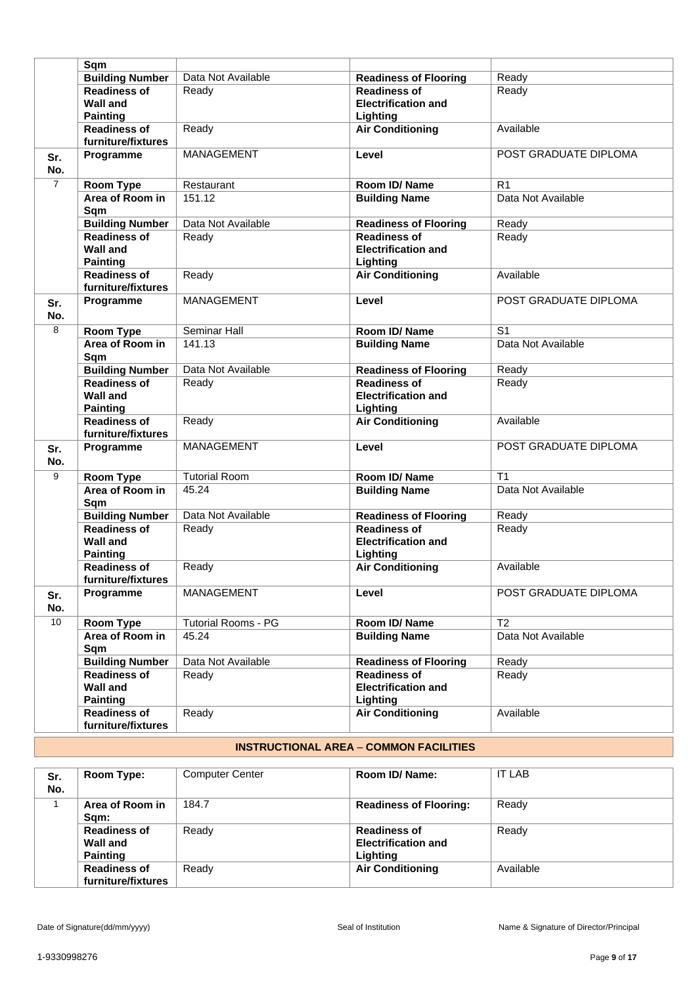|                | Sqm                                                       |                            |                                                               |                       |
|----------------|-----------------------------------------------------------|----------------------------|---------------------------------------------------------------|-----------------------|
|                | <b>Building Number</b>                                    | Data Not Available         | <b>Readiness of Flooring</b>                                  | Ready                 |
|                | <b>Readiness of</b><br><b>Wall and</b><br><b>Painting</b> | Ready                      | <b>Readiness of</b><br><b>Electrification and</b><br>Lighting | Ready                 |
|                | <b>Readiness of</b><br>furniture/fixtures                 | Ready                      | <b>Air Conditioning</b>                                       | Available             |
| Sr.<br>No.     | Programme                                                 | MANAGEMENT                 | Level                                                         | POST GRADUATE DIPLOMA |
| $\overline{7}$ | <b>Room Type</b>                                          | Restaurant                 | Room ID/Name                                                  | R <sub>1</sub>        |
|                | Area of Room in<br>Sqm                                    | 151.12                     | <b>Building Name</b>                                          | Data Not Available    |
|                | <b>Building Number</b>                                    | Data Not Available         | <b>Readiness of Flooring</b>                                  | Ready                 |
|                | <b>Readiness of</b><br><b>Wall and</b><br><b>Painting</b> | Ready                      | <b>Readiness of</b><br><b>Electrification and</b><br>Lighting | Ready                 |
|                | <b>Readiness of</b><br>furniture/fixtures                 | Ready                      | <b>Air Conditioning</b>                                       | Available             |
| Sr.<br>No.     | Programme                                                 | MANAGEMENT                 | Level                                                         | POST GRADUATE DIPLOMA |
| 8              | <b>Room Type</b>                                          | Seminar Hall               | Room ID/Name                                                  | S <sub>1</sub>        |
|                | Area of Room in<br>Sqm                                    | 141.13                     | <b>Building Name</b>                                          | Data Not Available    |
|                | <b>Building Number</b>                                    | Data Not Available         | <b>Readiness of Flooring</b>                                  | Ready                 |
|                | <b>Readiness of</b><br><b>Wall and</b><br><b>Painting</b> | Ready                      | <b>Readiness of</b><br><b>Electrification and</b><br>Lighting | Ready                 |
|                | <b>Readiness of</b><br>furniture/fixtures                 | Ready                      | <b>Air Conditioning</b>                                       | Available             |
| Sr.<br>No.     | Programme                                                 | MANAGEMENT                 | Level                                                         | POST GRADUATE DIPLOMA |
| 9              | <b>Room Type</b>                                          | <b>Tutorial Room</b>       | Room ID/Name                                                  | T <sub>1</sub>        |
|                | Area of Room in<br>Sqm                                    | 45.24                      | <b>Building Name</b>                                          | Data Not Available    |
|                | <b>Building Number</b>                                    | Data Not Available         | <b>Readiness of Flooring</b>                                  | Ready                 |
|                | Readiness of<br><b>Wall and</b><br><b>Painting</b>        | Ready                      | <b>Readiness of</b><br><b>Electrification and</b><br>Lighting | Ready                 |
|                | <b>Readiness of</b><br>furniture/fixtures                 | Ready                      | <b>Air Conditioning</b>                                       | Available             |
| Sr.<br>No.     | Programme                                                 | MANAGEMENT                 | Level                                                         | POST GRADUATE DIPLOMA |
| 10             | <b>Room Type</b>                                          | <b>Tutorial Rooms - PG</b> | Room ID/ Name                                                 | T <sub>2</sub>        |
|                | Area of Room in<br>Sqm                                    | 45.24                      | <b>Building Name</b>                                          | Data Not Available    |
|                | <b>Building Number</b>                                    | Data Not Available         | <b>Readiness of Flooring</b>                                  | Ready                 |
|                | <b>Readiness of</b><br><b>Wall and</b><br><b>Painting</b> | Ready                      | <b>Readiness of</b><br><b>Electrification and</b><br>Lighting | Ready                 |
|                | <b>Readiness of</b><br>furniture/fixtures                 | Ready                      | <b>Air Conditioning</b>                                       | Available             |

## **INSTRUCTIONAL AREA** – **COMMON FACILITIES**

| Sr.<br>No. | Room Type:                                         | <b>Computer Center</b> | Room ID/ Name:                                                | <b>IT LAB</b> |
|------------|----------------------------------------------------|------------------------|---------------------------------------------------------------|---------------|
|            | Area of Room in<br>Sqm:                            | 184.7                  | <b>Readiness of Flooring:</b>                                 | Ready         |
|            | <b>Readiness of</b><br>Wall and<br><b>Painting</b> | Ready                  | <b>Readiness of</b><br><b>Electrification and</b><br>Lighting | Ready         |
|            | <b>Readiness of</b><br>furniture/fixtures          | Ready                  | <b>Air Conditioning</b>                                       | Available     |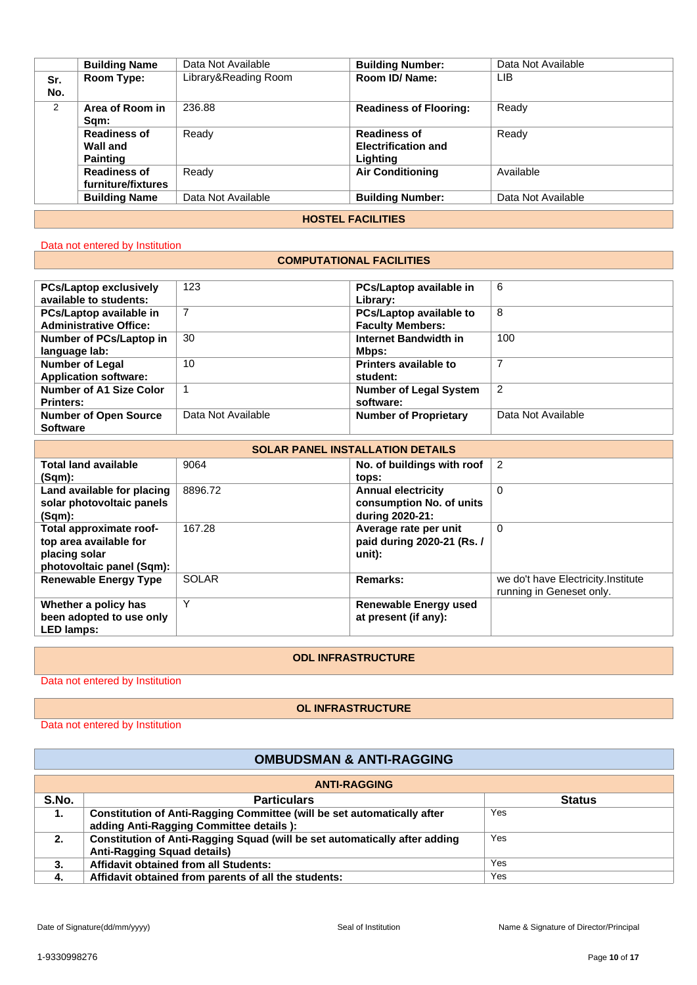|     | <b>Building Name</b>     | Data Not Available   | <b>Building Number:</b>       | Data Not Available |  |  |  |
|-----|--------------------------|----------------------|-------------------------------|--------------------|--|--|--|
| Sr. | Room Type:               | Library&Reading Room | Room ID/ Name:                | LIB                |  |  |  |
| No. |                          |                      |                               |                    |  |  |  |
| 2   | Area of Room in          | 236.88               | <b>Readiness of Flooring:</b> | Ready              |  |  |  |
|     | Sam:                     |                      |                               |                    |  |  |  |
|     | <b>Readiness of</b>      | Ready                | <b>Readiness of</b>           | Ready              |  |  |  |
|     | Wall and                 |                      | <b>Electrification and</b>    |                    |  |  |  |
|     | <b>Painting</b>          |                      | Lighting                      |                    |  |  |  |
|     | <b>Readiness of</b>      | Ready                | <b>Air Conditioning</b>       | Available          |  |  |  |
|     | furniture/fixtures       |                      |                               |                    |  |  |  |
|     | <b>Building Name</b>     | Data Not Available   | <b>Building Number:</b>       | Data Not Available |  |  |  |
|     |                          |                      |                               |                    |  |  |  |
|     | <b>HOSTEL FACILITIES</b> |                      |                               |                    |  |  |  |

### Data not entered by Institution

### **COMPUTATIONAL FACILITIES**

| <b>PCs/Laptop exclusively</b>  | 123                | PCs/Laptop available in       | 6                  |
|--------------------------------|--------------------|-------------------------------|--------------------|
| available to students:         |                    | Library:                      |                    |
| PCs/Laptop available in        | 7                  | PCs/Laptop available to       | 8                  |
| <b>Administrative Office:</b>  |                    | <b>Faculty Members:</b>       |                    |
| Number of PCs/Laptop in        | 30                 | Internet Bandwidth in         | 100                |
| language lab:                  |                    | Mbps:                         |                    |
| <b>Number of Legal</b>         | 10                 | <b>Printers available to</b>  |                    |
| <b>Application software:</b>   |                    | student:                      |                    |
| <b>Number of A1 Size Color</b> |                    | <b>Number of Legal System</b> | $\overline{2}$     |
| <b>Printers:</b>               |                    | software:                     |                    |
| <b>Number of Open Source</b>   | Data Not Available | <b>Number of Proprietary</b>  | Data Not Available |
| <b>Software</b>                |                    |                               |                    |

| <b>SOLAR PANEL INSTALLATION DETAILS</b>                                                         |              |                                                                          |                                                                 |  |  |
|-------------------------------------------------------------------------------------------------|--------------|--------------------------------------------------------------------------|-----------------------------------------------------------------|--|--|
| <b>Total land available</b><br>(Sqm):                                                           | 9064         | No. of buildings with roof<br>tops:                                      | $\overline{2}$                                                  |  |  |
| Land available for placing<br>solar photovoltaic panels<br>(Sqm):                               | 8896.72      | <b>Annual electricity</b><br>consumption No. of units<br>during 2020-21: | $\Omega$                                                        |  |  |
| Total approximate roof-<br>top area available for<br>placing solar<br>photovoltaic panel (Sqm): | 167.28       | Average rate per unit<br>paid during 2020-21 (Rs. /<br>unit):            | $\Omega$                                                        |  |  |
| <b>Renewable Energy Type</b>                                                                    | <b>SOLAR</b> | Remarks:                                                                 | we do't have Electricity. Institute<br>running in Geneset only. |  |  |
| Whether a policy has<br>been adopted to use only<br><b>LED lamps:</b>                           | $\checkmark$ | <b>Renewable Energy used</b><br>at present (if any):                     |                                                                 |  |  |

#### **ODL INFRASTRUCTURE**

Data not entered by Institution

#### **OL INFRASTRUCTURE**

Data not entered by Institution

## **OMBUDSMAN & ANTI-RAGGING**

| <b>ANTI-RAGGING</b> |                                                                                                                            |               |  |  |  |
|---------------------|----------------------------------------------------------------------------------------------------------------------------|---------------|--|--|--|
| S.No.               | <b>Particulars</b>                                                                                                         | <b>Status</b> |  |  |  |
| 1.                  | <b>Constitution of Anti-Ragging Committee (will be set automatically after</b><br>adding Anti-Ragging Committee details ): | Yes           |  |  |  |
| 2.                  | Constitution of Anti-Ragging Squad (will be set automatically after adding<br><b>Anti-Ragging Squad details)</b>           | Yes           |  |  |  |
| 3.                  | Affidavit obtained from all Students:                                                                                      | Yes           |  |  |  |
| -4.                 | Affidavit obtained from parents of all the students:                                                                       | Yes           |  |  |  |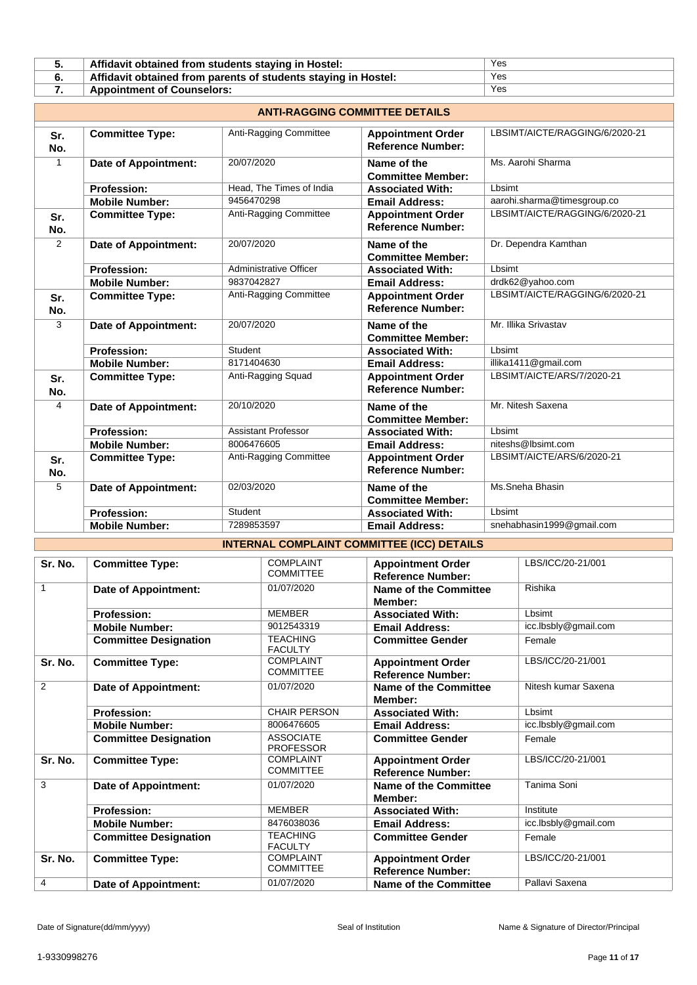| Affidavit obtained from students staying in Hostel:            | Yes |
|----------------------------------------------------------------|-----|
| Affidavit obtained from parents of students staying in Hostel: | Yes |
| <b>Appointment of Counselors:</b>                              | Yes |

| <b>ANTI-RAGGING COMMITTEE DETAILS</b> |                             |                            |                                                      |                                |  |
|---------------------------------------|-----------------------------|----------------------------|------------------------------------------------------|--------------------------------|--|
| Sr.<br>No.                            | <b>Committee Type:</b>      | Anti-Ragging Committee     | <b>Appointment Order</b><br><b>Reference Number:</b> | LBSIMT/AICTE/RAGGING/6/2020-21 |  |
| 1                                     | Date of Appointment:        | 20/07/2020                 | Name of the<br><b>Committee Member:</b>              | Ms. Aarohi Sharma              |  |
|                                       | <b>Profession:</b>          | Head, The Times of India   | <b>Associated With:</b>                              | Lbsimt                         |  |
|                                       | <b>Mobile Number:</b>       | 9456470298                 | <b>Email Address:</b>                                | aarohi.sharma@timesgroup.co    |  |
| Sr.<br>No.                            | <b>Committee Type:</b>      | Anti-Ragging Committee     | <b>Appointment Order</b><br><b>Reference Number:</b> | LBSIMT/AICTE/RAGGING/6/2020-21 |  |
| $\overline{2}$                        | <b>Date of Appointment:</b> | 20/07/2020                 | Name of the<br><b>Committee Member:</b>              | Dr. Dependra Kamthan           |  |
|                                       | <b>Profession:</b>          | Administrative Officer     | <b>Associated With:</b>                              | Lbsimt                         |  |
|                                       | <b>Mobile Number:</b>       | 9837042827                 | <b>Email Address:</b>                                | drdk62@yahoo.com               |  |
| Sr.<br>No.                            | <b>Committee Type:</b>      | Anti-Ragging Committee     | <b>Appointment Order</b><br><b>Reference Number:</b> | LBSIMT/AICTE/RAGGING/6/2020-21 |  |
| 3                                     | <b>Date of Appointment:</b> | 20/07/2020                 | Name of the<br><b>Committee Member:</b>              | Mr. Illika Srivastav           |  |
|                                       | <b>Profession:</b>          | Student                    | <b>Associated With:</b>                              | Lbsimt                         |  |
|                                       | <b>Mobile Number:</b>       | 8171404630                 | <b>Email Address:</b>                                | illika1411@gmail.com           |  |
| Sr.<br>No.                            | <b>Committee Type:</b>      | Anti-Ragging Squad         | <b>Appointment Order</b><br><b>Reference Number:</b> | LBSIMT/AICTE/ARS/7/2020-21     |  |
| 4                                     | <b>Date of Appointment:</b> | 20/10/2020                 | Name of the<br><b>Committee Member:</b>              | Mr. Nitesh Saxena              |  |
|                                       | Profession:                 | <b>Assistant Professor</b> | <b>Associated With:</b>                              | Lbsimt                         |  |
|                                       | <b>Mobile Number:</b>       | 8006476605                 | <b>Email Address:</b>                                | niteshs@lbsimt.com             |  |
| Sr.<br>No.                            | <b>Committee Type:</b>      | Anti-Ragging Committee     | <b>Appointment Order</b><br><b>Reference Number:</b> | LBSIMT/AICTE/ARS/6/2020-21     |  |
| 5                                     | <b>Date of Appointment:</b> | 02/03/2020                 | Name of the<br><b>Committee Member:</b>              | Ms.Sneha Bhasin                |  |
|                                       | <b>Profession:</b>          | Student                    | <b>Associated With:</b>                              | Lbsimt                         |  |
|                                       | <b>Mobile Number:</b>       | 7289853597                 | <b>Email Address:</b>                                | snehabhasin1999@gmail.com      |  |

# **INTERNAL COMPLAINT COMMITTEE (ICC) DETAILS**

| Sr. No. | <b>Committee Type:</b>       | <b>COMPLAINT</b>                     | <b>Appointment Order</b>                             | LBS/ICC/20-21/001    |
|---------|------------------------------|--------------------------------------|------------------------------------------------------|----------------------|
|         |                              | <b>COMMITTEE</b>                     | <b>Reference Number:</b>                             |                      |
| 1       | Date of Appointment:         | 01/07/2020                           | Name of the Committee                                | Rishika              |
|         |                              |                                      | Member:                                              |                      |
|         | <b>Profession:</b>           | <b>MEMBER</b>                        | <b>Associated With:</b>                              | Lbsimt               |
|         | <b>Mobile Number:</b>        | 9012543319                           | <b>Email Address:</b>                                | icc.lbsbly@gmail.com |
|         | <b>Committee Designation</b> | <b>TEACHING</b><br><b>FACULTY</b>    | <b>Committee Gender</b>                              | Female               |
| Sr. No. | <b>Committee Type:</b>       | <b>COMPLAINT</b>                     | <b>Appointment Order</b>                             | LBS/ICC/20-21/001    |
|         |                              | <b>COMMITTEE</b>                     | <b>Reference Number:</b>                             |                      |
| 2       | Date of Appointment:         | 01/07/2020                           | Name of the Committee                                | Nitesh kumar Saxena  |
|         |                              |                                      | Member:                                              |                      |
|         | <b>Profession:</b>           | <b>CHAIR PERSON</b>                  | <b>Associated With:</b>                              | Lbsimt               |
|         | <b>Mobile Number:</b>        | 8006476605                           | <b>Email Address:</b>                                | icc.lbsbly@gmail.com |
|         | <b>Committee Designation</b> | <b>ASSOCIATE</b><br><b>PROFESSOR</b> | <b>Committee Gender</b>                              | Female               |
| Sr. No. | <b>Committee Type:</b>       | <b>COMPLAINT</b><br><b>COMMITTEE</b> | <b>Appointment Order</b><br><b>Reference Number:</b> | LBS/ICC/20-21/001    |
| 3       |                              | 01/07/2020                           |                                                      | Tanima Soni          |
|         | Date of Appointment:         |                                      | <b>Name of the Committee</b>                         |                      |
|         |                              |                                      | Member:                                              |                      |
|         | <b>Profession:</b>           | <b>MEMBER</b>                        | <b>Associated With:</b>                              | Institute            |
|         | <b>Mobile Number:</b>        | 8476038036                           | <b>Email Address:</b>                                | icc.lbsbly@gmail.com |
|         | <b>Committee Designation</b> | <b>TEACHING</b><br><b>FACULTY</b>    | <b>Committee Gender</b>                              | Female               |
| Sr. No. | <b>Committee Type:</b>       | <b>COMPLAINT</b>                     | <b>Appointment Order</b>                             | LBS/ICC/20-21/001    |
|         |                              | <b>COMMITTEE</b>                     | <b>Reference Number:</b>                             |                      |
| 4       | Date of Appointment:         | 01/07/2020                           | Name of the Committee                                | Pallavi Saxena       |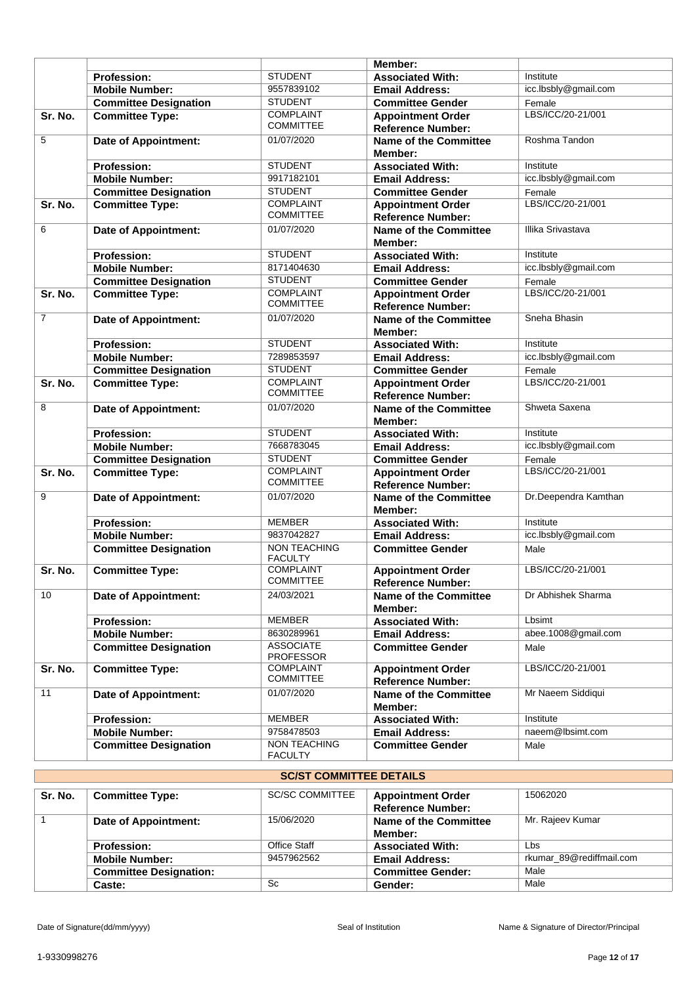|                |                              |                                       | Member:                                              |                             |
|----------------|------------------------------|---------------------------------------|------------------------------------------------------|-----------------------------|
|                | <b>Profession:</b>           | <b>STUDENT</b>                        | <b>Associated With:</b>                              | Institute                   |
|                | <b>Mobile Number:</b>        | 9557839102                            | <b>Email Address:</b>                                | icc.lbsbly@gmail.com        |
|                | <b>Committee Designation</b> | <b>STUDENT</b>                        | <b>Committee Gender</b>                              | Female                      |
| Sr. No.        | <b>Committee Type:</b>       | <b>COMPLAINT</b><br><b>COMMITTEE</b>  | <b>Appointment Order</b><br><b>Reference Number:</b> | LBS/ICC/20-21/001           |
| 5              | <b>Date of Appointment:</b>  | 01/07/2020                            | <b>Name of the Committee</b><br>Member:              | Roshma Tandon               |
|                | <b>Profession:</b>           | <b>STUDENT</b>                        | <b>Associated With:</b>                              | Institute                   |
|                | <b>Mobile Number:</b>        | 9917182101                            | <b>Email Address:</b>                                | icc.lbsbly@gmail.com        |
|                | <b>Committee Designation</b> | <b>STUDENT</b>                        | <b>Committee Gender</b>                              | Female                      |
| Sr. No.        | <b>Committee Type:</b>       | <b>COMPLAINT</b><br><b>COMMITTEE</b>  | <b>Appointment Order</b><br><b>Reference Number:</b> | LBS/ICC/20-21/001           |
| 6              | <b>Date of Appointment:</b>  | 01/07/2020                            | <b>Name of the Committee</b><br>Member:              | Illika Srivastava           |
|                | <b>Profession:</b>           | <b>STUDENT</b>                        | <b>Associated With:</b>                              | Institute                   |
|                | <b>Mobile Number:</b>        | 8171404630                            | <b>Email Address:</b>                                | icc.lbsbly@gmail.com        |
|                | <b>Committee Designation</b> | <b>STUDENT</b>                        | <b>Committee Gender</b>                              | Female                      |
| Sr. No.        | <b>Committee Type:</b>       | <b>COMPLAINT</b>                      | <b>Appointment Order</b>                             | LBS/ICC/20-21/001           |
|                |                              | <b>COMMITTEE</b>                      | <b>Reference Number:</b>                             |                             |
| $\overline{7}$ | <b>Date of Appointment:</b>  | 01/07/2020                            | <b>Name of the Committee</b>                         | Sneha Bhasin                |
|                |                              |                                       | Member:                                              |                             |
|                | <b>Profession:</b>           | <b>STUDENT</b>                        | <b>Associated With:</b>                              | Institute                   |
|                | <b>Mobile Number:</b>        | 7289853597                            | <b>Email Address:</b>                                | icc.lbsbly@gmail.com        |
|                | <b>Committee Designation</b> | <b>STUDENT</b><br><b>COMPLAINT</b>    | <b>Committee Gender</b>                              | Female<br>LBS/ICC/20-21/001 |
| Sr. No.        | <b>Committee Type:</b>       | <b>COMMITTEE</b>                      | <b>Appointment Order</b><br><b>Reference Number:</b> |                             |
| 8              | <b>Date of Appointment:</b>  | 01/07/2020                            | Name of the Committee<br>Member:                     | Shweta Saxena               |
|                | <b>Profession:</b>           | <b>STUDENT</b>                        | <b>Associated With:</b>                              | Institute                   |
|                | <b>Mobile Number:</b>        | 7668783045                            | <b>Email Address:</b>                                | icc.lbsbly@gmail.com        |
|                | <b>Committee Designation</b> | <b>STUDENT</b>                        | <b>Committee Gender</b>                              | Female                      |
| Sr. No.        | <b>Committee Type:</b>       | <b>COMPLAINT</b><br><b>COMMITTEE</b>  | <b>Appointment Order</b><br><b>Reference Number:</b> | LBS/ICC/20-21/001           |
| 9              | <b>Date of Appointment:</b>  | 01/07/2020                            | <b>Name of the Committee</b><br>Member:              | Dr.Deependra Kamthan        |
|                | <b>Profession:</b>           | <b>MEMBER</b>                         | <b>Associated With:</b>                              | Institute                   |
|                | <b>Mobile Number:</b>        | 9837042827                            | <b>Email Address:</b>                                | icc.lbsbly@gmail.com        |
|                | <b>Committee Designation</b> | NON TEACHING<br><b>FACULTY</b>        | <b>Committee Gender</b>                              | Male                        |
| Sr. No.        | <b>Committee Type:</b>       | <b>COMPLAINT</b><br><b>COMMITTEE</b>  | <b>Appointment Order</b><br><b>Reference Number:</b> | LBS/ICC/20-21/001           |
| 10             | <b>Date of Appointment:</b>  | 24/03/2021                            | <b>Name of the Committee</b><br>Member:              | Dr Abhishek Sharma          |
|                | <b>Profession:</b>           | <b>MEMBER</b>                         | <b>Associated With:</b>                              | Lbsimt                      |
|                | <b>Mobile Number:</b>        | 8630289961                            | <b>Email Address:</b>                                | abee.1008@gmail.com         |
|                | <b>Committee Designation</b> | <b>ASSOCIATE</b><br><b>PROFESSOR</b>  | <b>Committee Gender</b>                              | Male                        |
| Sr. No.        | <b>Committee Type:</b>       | <b>COMPLAINT</b><br><b>COMMITTEE</b>  | <b>Appointment Order</b><br><b>Reference Number:</b> | LBS/ICC/20-21/001           |
| 11             | <b>Date of Appointment:</b>  | 01/07/2020                            | <b>Name of the Committee</b><br>Member:              | Mr Naeem Siddiqui           |
|                | <b>Profession:</b>           | <b>MEMBER</b>                         | <b>Associated With:</b>                              | Institute                   |
|                | <b>Mobile Number:</b>        | 9758478503                            | <b>Email Address:</b>                                | naeem@lbsimt.com            |
|                | <b>Committee Designation</b> | <b>NON TEACHING</b><br><b>FACULTY</b> | <b>Committee Gender</b>                              | Male                        |

# **SC/ST COMMITTEE DETAILS**

| Sr. No. | <b>Committee Type:</b>        | <b>SC/SC COMMITTEE</b> | <b>Appointment Order</b><br><b>Reference Number:</b> | 15062020                 |
|---------|-------------------------------|------------------------|------------------------------------------------------|--------------------------|
|         | Date of Appointment:          | 15/06/2020             | Name of the Committee<br>Member:                     | Mr. Rajeev Kumar         |
|         | <b>Profession:</b>            | Office Staff           | <b>Associated With:</b>                              | Lbs                      |
|         | <b>Mobile Number:</b>         | 9457962562             | <b>Email Address:</b>                                | rkumar 89@rediffmail.com |
|         | <b>Committee Designation:</b> |                        | <b>Committee Gender:</b>                             | Male                     |
|         | Caste:                        | Sc                     | Gender:                                              | Male                     |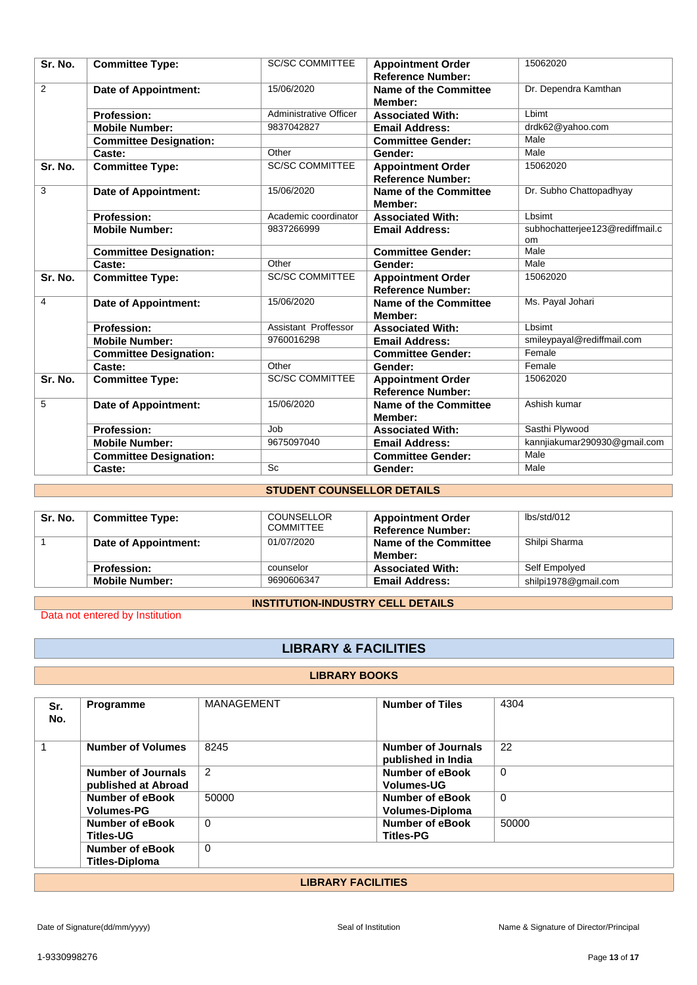| Sr. No.        | <b>Committee Type:</b>        | <b>SC/SC COMMITTEE</b>        | <b>Appointment Order</b><br><b>Reference Number:</b> | 15062020                                     |
|----------------|-------------------------------|-------------------------------|------------------------------------------------------|----------------------------------------------|
| $\overline{2}$ | Date of Appointment:          | 15/06/2020                    | Name of the Committee<br>Member:                     | Dr. Dependra Kamthan                         |
|                | <b>Profession:</b>            | <b>Administrative Officer</b> | <b>Associated With:</b>                              | I himt                                       |
|                | <b>Mobile Number:</b>         | 9837042827                    | <b>Email Address:</b>                                | drdk62@yahoo.com                             |
|                | <b>Committee Designation:</b> |                               | <b>Committee Gender:</b>                             | Male                                         |
|                | Caste:                        | Other                         | Gender:                                              | Male                                         |
| Sr. No.        | <b>Committee Type:</b>        | <b>SC/SC COMMITTEE</b>        | <b>Appointment Order</b><br><b>Reference Number:</b> | 15062020                                     |
| 3              | Date of Appointment:          | 15/06/2020                    | Name of the Committee<br>Member:                     | Dr. Subho Chattopadhyay                      |
|                | <b>Profession:</b>            | Academic coordinator          | <b>Associated With:</b>                              | Lbsimt                                       |
|                | <b>Mobile Number:</b>         | 9837266999                    | <b>Email Address:</b>                                | subhochatterjee123@rediffmail.c<br><b>om</b> |
|                | <b>Committee Designation:</b> |                               | <b>Committee Gender:</b>                             | Male                                         |
|                | Caste:                        | Other                         | Gender:                                              | Male                                         |
| Sr. No.        | <b>Committee Type:</b>        | <b>SC/SC COMMITTEE</b>        | <b>Appointment Order</b><br><b>Reference Number:</b> | 15062020                                     |
| 4              | Date of Appointment:          | 15/06/2020                    | Name of the Committee<br>Member:                     | Ms. Payal Johari                             |
|                | <b>Profession:</b>            | Assistant Proffessor          | <b>Associated With:</b>                              | Lbsimt                                       |
|                | <b>Mobile Number:</b>         | 9760016298                    | <b>Email Address:</b>                                | smileypayal@rediffmail.com                   |
|                | <b>Committee Designation:</b> |                               | <b>Committee Gender:</b>                             | Female                                       |
|                | Caste:                        | Other                         | Gender:                                              | Female                                       |
| Sr. No.        | <b>Committee Type:</b>        | <b>SC/SC COMMITTEE</b>        | <b>Appointment Order</b><br><b>Reference Number:</b> | 15062020                                     |
| 5              | Date of Appointment:          | 15/06/2020                    | Name of the Committee<br>Member:                     | Ashish kumar                                 |
|                | <b>Profession:</b>            | Job                           | <b>Associated With:</b>                              | Sasthi Plywood                               |
|                | <b>Mobile Number:</b>         | 9675097040                    | <b>Email Address:</b>                                | kannjiakumar290930@gmail.com                 |
|                | <b>Committee Designation:</b> |                               | <b>Committee Gender:</b>                             | Male                                         |
|                | Caste:                        | Sc                            | Gender:                                              | Male                                         |

## **STUDENT COUNSELLOR DETAILS**

| Sr. No. | <b>Committee Type:</b> | <b>COUNSELLOR</b><br><b>COMMITTEE</b> | <b>Appointment Order</b><br><b>Reference Number:</b> | lbs/std/012          |
|---------|------------------------|---------------------------------------|------------------------------------------------------|----------------------|
|         | Date of Appointment:   | 01/07/2020                            | <b>Name of the Committee</b><br>Member:              | Shilpi Sharma        |
|         | <b>Profession:</b>     | counselor                             | <b>Associated With:</b>                              | Self Empolyed        |
|         | <b>Mobile Number:</b>  | 9690606347                            | <b>Email Address:</b>                                | shilpi1978@gmail.com |

## **INSTITUTION-INDUSTRY CELL DETAILS**

Data not entered by Institution

## **LIBRARY & FACILITIES**

#### **LIBRARY BOOKS**

| Sr.<br>No.                | Programme                                 | MANAGEMENT     | <b>Number of Tiles</b>                           | 4304     |  |
|---------------------------|-------------------------------------------|----------------|--------------------------------------------------|----------|--|
|                           | <b>Number of Volumes</b>                  | 8245           | Number of Journals<br>published in India         | 22       |  |
|                           | Number of Journals<br>published at Abroad | $\overline{2}$ | Number of eBook<br><b>Volumes-UG</b>             | $\Omega$ |  |
|                           | Number of eBook<br><b>Volumes-PG</b>      | 50000          | <b>Number of eBook</b><br><b>Volumes-Diploma</b> | $\Omega$ |  |
|                           | Number of eBook<br><b>Titles-UG</b>       | $\mathbf 0$    | <b>Number of eBook</b><br><b>Titles-PG</b>       | 50000    |  |
|                           | Number of eBook<br><b>Titles-Diploma</b>  | $\mathbf 0$    |                                                  |          |  |
| <b>LIBRARY FACILITIES</b> |                                           |                |                                                  |          |  |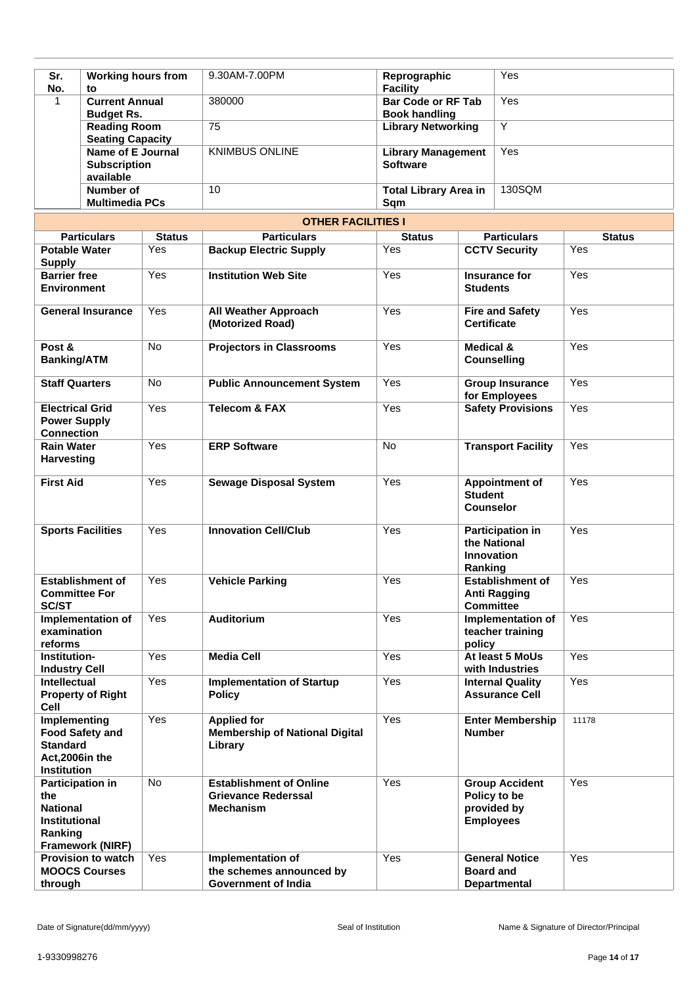| <b>Working hours from</b><br>Sr.                                                     |                                    |               | 9.30AM-7.00PM                                                                      | Reprographic                                      |                                                                         | Yes                                                  |               |  |
|--------------------------------------------------------------------------------------|------------------------------------|---------------|------------------------------------------------------------------------------------|---------------------------------------------------|-------------------------------------------------------------------------|------------------------------------------------------|---------------|--|
| No.<br>to<br><b>Current Annual</b><br>1                                              |                                    |               | 380000                                                                             | <b>Facility</b><br><b>Bar Code or RF Tab</b>      |                                                                         | Yes                                                  |               |  |
| <b>Budget Rs.</b><br><b>Reading Room</b>                                             |                                    |               | 75                                                                                 | <b>Book handling</b><br><b>Library Networking</b> |                                                                         | Υ                                                    |               |  |
| <b>Seating Capacity</b><br>Name of E Journal<br><b>Subscription</b><br>available     |                                    |               | <b>KNIMBUS ONLINE</b>                                                              | <b>Library Management</b><br><b>Software</b>      |                                                                         | Yes                                                  |               |  |
|                                                                                      | Number of<br><b>Multimedia PCs</b> |               | 10                                                                                 | <b>Total Library Area in</b><br>Sqm               |                                                                         | 130SQM                                               |               |  |
|                                                                                      |                                    |               | <b>OTHER FACILITIES I</b>                                                          |                                                   |                                                                         |                                                      |               |  |
|                                                                                      | <b>Particulars</b>                 | <b>Status</b> | <b>Particulars</b>                                                                 | <b>Status</b>                                     |                                                                         | <b>Particulars</b>                                   | <b>Status</b> |  |
| <b>Potable Water</b><br><b>Supply</b>                                                |                                    | Yes           | <b>Backup Electric Supply</b>                                                      | Yes                                               | <b>CCTV Security</b>                                                    |                                                      | Yes           |  |
| <b>Barrier free</b><br><b>Environment</b>                                            |                                    | Yes           | <b>Institution Web Site</b>                                                        | Yes                                               | Insurance for<br><b>Students</b>                                        |                                                      | Yes           |  |
| <b>General Insurance</b>                                                             |                                    | Yes           | <b>All Weather Approach</b><br>(Motorized Road)                                    | Yes                                               | <b>Fire and Safety</b><br><b>Certificate</b>                            |                                                      | Yes           |  |
| Post &<br><b>Banking/ATM</b>                                                         |                                    | No            | <b>Projectors in Classrooms</b>                                                    | Yes                                               | Medical &<br><b>Counselling</b>                                         |                                                      | Yes           |  |
| <b>Staff Quarters</b>                                                                |                                    | <b>No</b>     | <b>Public Announcement System</b>                                                  | Yes                                               | <b>Group Insurance</b><br>for Employees                                 |                                                      | Yes           |  |
| <b>Electrical Grid</b><br><b>Power Supply</b><br><b>Connection</b>                   |                                    | Yes           | <b>Telecom &amp; FAX</b>                                                           | Yes                                               | <b>Safety Provisions</b>                                                |                                                      | Yes           |  |
| <b>Rain Water</b><br><b>Harvesting</b>                                               |                                    | Yes           | <b>ERP Software</b>                                                                | <b>No</b>                                         | <b>Transport Facility</b>                                               |                                                      | Yes           |  |
| <b>First Aid</b>                                                                     |                                    | Yes           | <b>Sewage Disposal System</b>                                                      | Yes                                               | <b>Student</b><br>Counselor                                             | <b>Appointment of</b>                                | Yes           |  |
| <b>Sports Facilities</b>                                                             |                                    | Yes           | <b>Innovation Cell/Club</b>                                                        | Yes                                               | <b>Participation in</b><br>the National<br><b>Innovation</b><br>Ranking |                                                      | Yes           |  |
| <b>Establishment of</b><br><b>Committee For</b><br><b>SC/ST</b>                      |                                    | Yes           | <b>Vehicle Parking</b>                                                             | Yes                                               | <b>Establishment of</b><br><b>Anti Ragging</b><br><b>Committee</b>      |                                                      | Yes           |  |
| Implementation of<br>examination<br>reforms                                          |                                    | Yes           | <b>Auditorium</b>                                                                  | Yes                                               | Implementation of<br>teacher training<br>policy                         |                                                      | Yes           |  |
| Institution-<br><b>Industry Cell</b>                                                 |                                    | Yes           | <b>Media Cell</b>                                                                  | Yes                                               | At least 5 MoUs<br>with Industries                                      |                                                      | Yes           |  |
| <b>Intellectual</b><br><b>Cell</b>                                                   | <b>Property of Right</b>           | Yes           | <b>Implementation of Startup</b><br><b>Policy</b>                                  | Yes                                               | <b>Internal Quality</b><br><b>Assurance Cell</b>                        |                                                      | Yes           |  |
| Implementing<br><b>Standard</b><br>Act,2006in the<br><b>Institution</b>              | <b>Food Safety and</b>             | Yes           | <b>Applied for</b><br><b>Membership of National Digital</b><br>Library             | Yes                                               | <b>Number</b>                                                           | <b>Enter Membership</b>                              | 11178         |  |
| <b>Participation in</b><br>the<br><b>National</b><br><b>Institutional</b><br>Ranking | Framework (NIRF)                   | No            | <b>Establishment of Online</b><br><b>Grievance Rederssal</b><br><b>Mechanism</b>   | Yes                                               | <b>Employees</b>                                                        | <b>Group Accident</b><br>Policy to be<br>provided by | Yes           |  |
| <b>Provision to watch</b><br><b>MOOCS Courses</b><br>through                         |                                    | Yes           | <b>Implementation of</b><br>the schemes announced by<br><b>Government of India</b> | Yes                                               | <b>Board and</b>                                                        | <b>General Notice</b><br><b>Departmental</b>         | Yes           |  |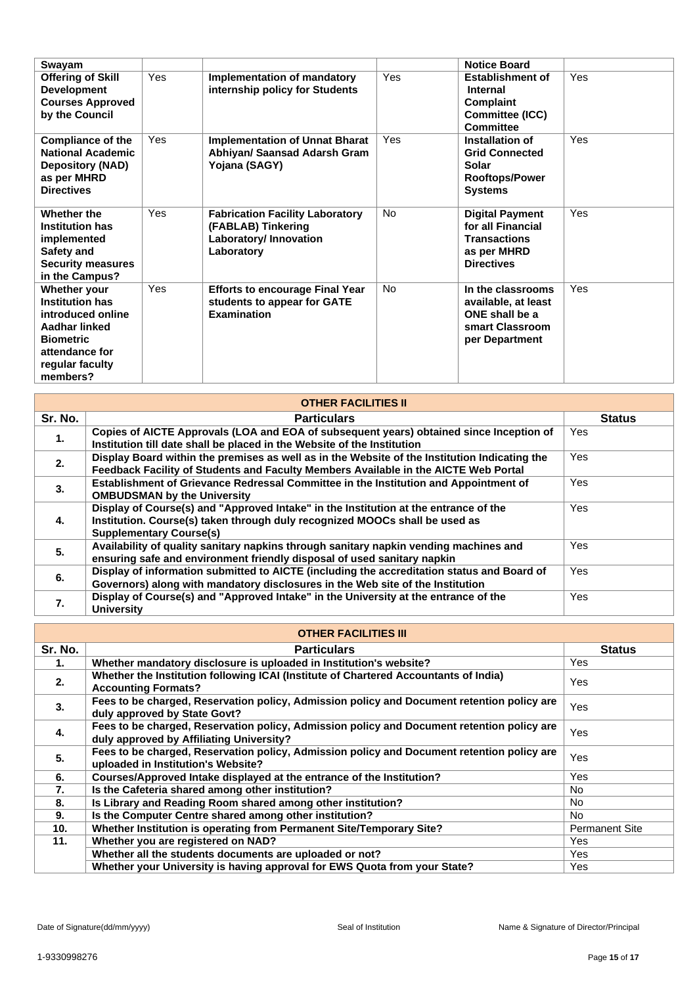| Swayam                                                                                                                                            |     |                                                                                                      |           | <b>Notice Board</b>                                                                                    |     |
|---------------------------------------------------------------------------------------------------------------------------------------------------|-----|------------------------------------------------------------------------------------------------------|-----------|--------------------------------------------------------------------------------------------------------|-----|
| <b>Offering of Skill</b><br><b>Development</b><br><b>Courses Approved</b><br>by the Council                                                       | Yes | <b>Implementation of mandatory</b><br>internship policy for Students                                 | Yes       | <b>Establishment of</b><br>Internal<br>Complaint<br><b>Committee (ICC)</b><br><b>Committee</b>         | Yes |
| <b>Compliance of the</b><br><b>National Academic</b><br><b>Depository (NAD)</b><br>as per MHRD<br><b>Directives</b>                               | Yes | <b>Implementation of Unnat Bharat</b><br>Abhiyan/ Saansad Adarsh Gram<br>Yojana (SAGY)               | Yes       | Installation of<br><b>Grid Connected</b><br>Solar<br><b>Rooftops/Power</b><br><b>Systems</b>           | Yes |
| Whether the<br><b>Institution has</b><br>implemented<br>Safety and<br><b>Security measures</b><br>in the Campus?                                  | Yes | <b>Fabrication Facility Laboratory</b><br>(FABLAB) Tinkering<br>Laboratory/ Innovation<br>Laboratory | <b>No</b> | <b>Digital Payment</b><br>for all Financial<br><b>Transactions</b><br>as per MHRD<br><b>Directives</b> | Yes |
| Whether your<br><b>Institution has</b><br>introduced online<br>Aadhar linked<br><b>Biometric</b><br>attendance for<br>regular faculty<br>members? | Yes | <b>Efforts to encourage Final Year</b><br>students to appear for GATE<br><b>Examination</b>          | No.       | In the classrooms<br>available, at least<br>ONE shall be a<br>smart Classroom<br>per Department        | Yes |

| <b>OTHER FACILITIES II</b> |                                                                                                                                                                                                       |               |  |  |
|----------------------------|-------------------------------------------------------------------------------------------------------------------------------------------------------------------------------------------------------|---------------|--|--|
| Sr. No.                    | <b>Particulars</b>                                                                                                                                                                                    | <b>Status</b> |  |  |
| 1.                         | Copies of AICTE Approvals (LOA and EOA of subsequent years) obtained since Inception of<br>Institution till date shall be placed in the Website of the Institution                                    | Yes           |  |  |
| 2.                         | Display Board within the premises as well as in the Website of the Institution Indicating the<br>Feedback Facility of Students and Faculty Members Available in the AICTE Web Portal                  | Yes           |  |  |
| 3.                         | Establishment of Grievance Redressal Committee in the Institution and Appointment of<br><b>OMBUDSMAN by the University</b>                                                                            | Yes           |  |  |
| 4.                         | Display of Course(s) and "Approved Intake" in the Institution at the entrance of the<br>Institution. Course(s) taken through duly recognized MOOCs shall be used as<br><b>Supplementary Course(s)</b> | <b>Yes</b>    |  |  |
| 5.                         | Availability of quality sanitary napkins through sanitary napkin vending machines and<br>ensuring safe and environment friendly disposal of used sanitary napkin                                      | Yes           |  |  |
| 6.                         | Display of information submitted to AICTE (including the accreditation status and Board of<br>Governors) along with mandatory disclosures in the Web site of the Institution                          | Yes           |  |  |
| 7.                         | Display of Course(s) and "Approved Intake" in the University at the entrance of the<br><b>University</b>                                                                                              | Yes           |  |  |

## **OTHER FACILITIES III**

| <u>UITEN FAULTILES III</u> |                                                                                                                                        |                       |  |  |
|----------------------------|----------------------------------------------------------------------------------------------------------------------------------------|-----------------------|--|--|
| Sr. No.                    | <b>Particulars</b>                                                                                                                     | <b>Status</b>         |  |  |
| 1.                         | Whether mandatory disclosure is uploaded in Institution's website?                                                                     | Yes                   |  |  |
| 2.                         | Whether the Institution following ICAI (Institute of Chartered Accountants of India)<br><b>Accounting Formats?</b>                     | Yes                   |  |  |
| 3.                         | Fees to be charged, Reservation policy, Admission policy and Document retention policy are<br>duly approved by State Govt?             | Yes                   |  |  |
| 4.                         | Fees to be charged, Reservation policy, Admission policy and Document retention policy are<br>duly approved by Affiliating University? | Yes                   |  |  |
| 5.                         | Fees to be charged, Reservation policy, Admission policy and Document retention policy are<br>uploaded in Institution's Website?       | Yes                   |  |  |
| 6.                         | Courses/Approved Intake displayed at the entrance of the Institution?                                                                  | Yes                   |  |  |
| 7.                         | Is the Cafeteria shared among other institution?                                                                                       | No.                   |  |  |
| 8.                         | Is Library and Reading Room shared among other institution?                                                                            | No.                   |  |  |
| 9.                         | Is the Computer Centre shared among other institution?                                                                                 | No.                   |  |  |
| 10 <sub>1</sub>            | Whether Institution is operating from Permanent Site/Temporary Site?                                                                   | <b>Permanent Site</b> |  |  |
| 11.                        | Whether you are registered on NAD?                                                                                                     | Yes                   |  |  |
|                            | Whether all the students documents are uploaded or not?                                                                                | Yes                   |  |  |
|                            | Whether your University is having approval for EWS Quota from your State?                                                              | Yes                   |  |  |

Г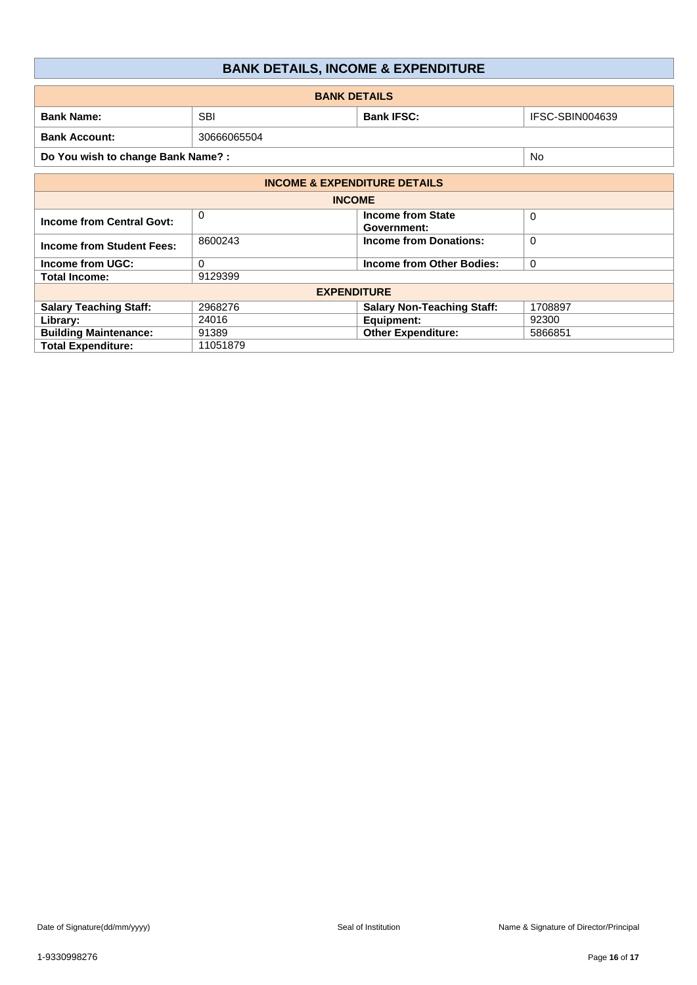| <b>BANK DETAILS, INCOME &amp; EXPENDITURE</b> |  |  |
|-----------------------------------------------|--|--|
|-----------------------------------------------|--|--|

| <b>BANK DETAILS</b>                     |            |                                         |          |  |  |
|-----------------------------------------|------------|-----------------------------------------|----------|--|--|
| <b>Bank Name:</b>                       | <b>SBI</b> | IFSC-SBIN004639                         |          |  |  |
| <b>Bank Account:</b><br>30666065504     |            |                                         |          |  |  |
| Do You wish to change Bank Name? :      | <b>No</b>  |                                         |          |  |  |
| <b>INCOME &amp; EXPENDITURE DETAILS</b> |            |                                         |          |  |  |
| <b>INCOME</b>                           |            |                                         |          |  |  |
| <b>Income from Central Govt:</b>        | $\Omega$   | <b>Income from State</b><br>Government: | $\Omega$ |  |  |
| <b>Income from Student Fees:</b>        | 8600243    | <b>Income from Donations:</b>           | $\Omega$ |  |  |
| Income from UGC:                        | $\Omega$   | <b>Income from Other Bodies:</b>        | 0        |  |  |
| <b>Total Income:</b>                    | 9129399    |                                         |          |  |  |
| <b>EXPENDITURE</b>                      |            |                                         |          |  |  |
| <b>Salary Teaching Staff:</b>           | 2968276    | <b>Salary Non-Teaching Staff:</b>       | 1708897  |  |  |
| Library:                                | 24016      | Equipment:                              | 92300    |  |  |
| <b>Building Maintenance:</b>            | 91389      | <b>Other Expenditure:</b>               | 5866851  |  |  |
| <b>Total Expenditure:</b>               | 11051879   |                                         |          |  |  |